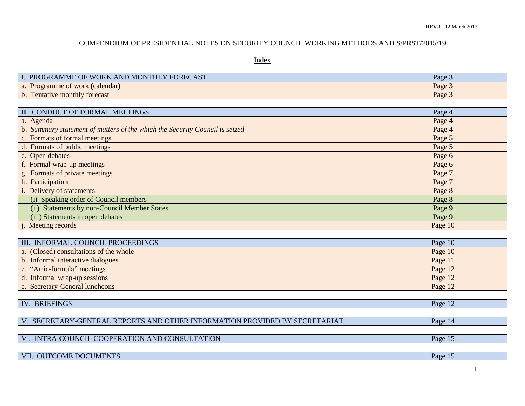## COMPENDIUM OF PRESIDENTIAL NOTES ON SECURITY COUNCIL WORKING METHODS AND S/PRST/2015/19

Index

| I. PROGRAMME OF WORK AND MONTHLY FORECAST                                   | Page 3  |
|-----------------------------------------------------------------------------|---------|
| a. Programme of work (calendar)                                             | Page 3  |
| b. Tentative monthly forecast                                               | Page 3  |
|                                                                             |         |
| II. CONDUCT OF FORMAL MEETINGS                                              | Page 4  |
| a. Agenda                                                                   | Page 4  |
| b. Summary statement of matters of the which the Security Council is seized | Page 4  |
| c. Formats of formal meetings                                               | Page 5  |
| d. Formats of public meetings                                               | Page 5  |
| e. Open debates                                                             | Page 6  |
| f. Formal wrap-up meetings                                                  | Page 6  |
| g. Formats of private meetings                                              | Page 7  |
| h. Participation                                                            | Page 7  |
| i. Delivery of statements                                                   | Page 8  |
| (i) Speaking order of Council members                                       | Page 8  |
| (ii) Statements by non-Council Member States                                | Page 9  |
| (iii) Statements in open debates                                            | Page 9  |
| Meeting records                                                             | Page 10 |
|                                                                             |         |
| III. INFORMAL COUNCIL PROCEEDINGS                                           | Page 10 |
| a. (Closed) consultations of the whole                                      | Page 10 |
| b. Informal interactive dialogues                                           | Page 11 |
| c. "Arria-formula" meetings                                                 | Page 12 |
| d. Informal wrap-up sessions                                                | Page 12 |
| e. Secretary-General luncheons                                              | Page 12 |
|                                                                             |         |
| <b>IV. BRIEFINGS</b>                                                        | Page 12 |
|                                                                             |         |
| V. SECRETARY-GENERAL REPORTS AND OTHER INFORMATION PROVIDED BY SECRETARIAT  | Page 14 |
|                                                                             |         |
| VI. INTRA-COUNCIL COOPERATION AND CONSULTATION                              | Page 15 |
|                                                                             |         |
| VII. OUTCOME DOCUMENTS                                                      | Page 15 |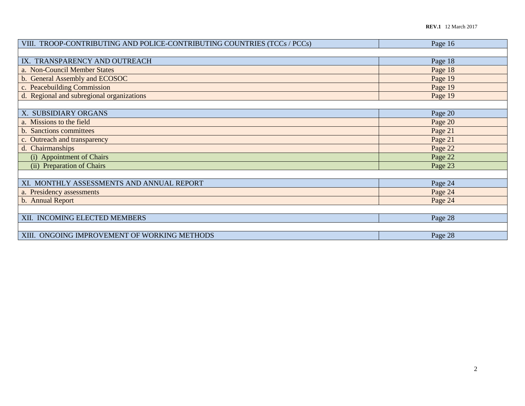| VIII. TROOP-CONTRIBUTING AND POLICE-CONTRIBUTING COUNTRIES (TCCs / PCCs) | Page 16 |
|--------------------------------------------------------------------------|---------|
|                                                                          |         |
| IX. TRANSPARENCY AND OUTREACH                                            | Page 18 |
| a. Non-Council Member States                                             | Page 18 |
| b. General Assembly and ECOSOC                                           | Page 19 |
| c. Peacebuilding Commission                                              | Page 19 |
| d. Regional and subregional organizations                                | Page 19 |
|                                                                          |         |
| X. SUBSIDIARY ORGANS                                                     | Page 20 |
| a. Missions to the field                                                 | Page 20 |
| b. Sanctions committees                                                  | Page 21 |
| c. Outreach and transparency                                             | Page 21 |
| d. Chairmanships                                                         | Page 22 |
| (i) Appointment of Chairs                                                | Page 22 |
| (ii) Preparation of Chairs                                               | Page 23 |
|                                                                          |         |
| XI. MONTHLY ASSESSMENTS AND ANNUAL REPORT                                | Page 24 |
| a. Presidency assessments                                                | Page 24 |
| b. Annual Report                                                         | Page 24 |
|                                                                          |         |
| XII. INCOMING ELECTED MEMBERS                                            | Page 28 |
|                                                                          |         |
| XIII. ONGOING IMPROVEMENT OF WORKING METHODS                             | Page 28 |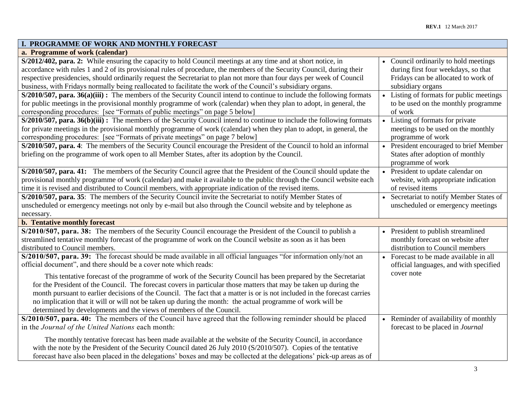| I. PROGRAMME OF WORK AND MONTHLY FORECAST                                                                                |                                                       |
|--------------------------------------------------------------------------------------------------------------------------|-------------------------------------------------------|
| a. Programme of work (calendar)                                                                                          |                                                       |
| S/2012/402, para. 2: While ensuring the capacity to hold Council meetings at any time and at short notice, in            | • Council ordinarily to hold meetings                 |
| accordance with rules 1 and 2 of its provisional rules of procedure, the members of the Security Council, during their   | during first four weekdays, so that                   |
| respective presidencies, should ordinarily request the Secretariat to plan not more than four days per week of Council   | Fridays can be allocated to work of                   |
| business, with Fridays normally being reallocated to facilitate the work of the Council's subsidiary organs.             | subsidiary organs                                     |
| $S/2010/507$ , para. 36(a)(iii): The members of the Security Council intend to continue to include the following formats | Listing of formats for public meetings                |
| for public meetings in the provisional monthly programme of work (calendar) when they plan to adopt, in general, the     | to be used on the monthly programme                   |
| corresponding procedures: [see "Formats of public meetings" on page 5 below]                                             | of work                                               |
| S/2010/507, para. 36(b)(iii): The members of the Security Council intend to continue to include the following formats    | Listing of formats for private                        |
| for private meetings in the provisional monthly programme of work (calendar) when they plan to adopt, in general, the    | meetings to be used on the monthly                    |
| corresponding procedures: [see "Formats of private meetings" on page 7 below]                                            | programme of work                                     |
| S/2010/507, para. 4: The members of the Security Council encourage the President of the Council to hold an informal      | President encouraged to brief Member                  |
| briefing on the programme of work open to all Member States, after its adoption by the Council.                          | States after adoption of monthly<br>programme of work |
| S/2010/507, para. 41: The members of the Security Council agree that the President of the Council should update the      | President to update calendar on                       |
| provisional monthly programme of work (calendar) and make it available to the public through the Council website each    | website, with appropriate indication                  |
| time it is revised and distributed to Council members, with appropriate indication of the revised items.                 | of revised items                                      |
| S/2010/507, para. 35: The members of the Security Council invite the Secretariat to notify Member States of              | Secretariat to notify Member States of                |
| unscheduled or emergency meetings not only by e-mail but also through the Council website and by telephone as            | unscheduled or emergency meetings                     |
| necessary.                                                                                                               |                                                       |
| b. Tentative monthly forecast                                                                                            |                                                       |
| S/2010/507, para. 38: The members of the Security Council encourage the President of the Council to publish a            | President to publish streamlined                      |
| streamlined tentative monthly forecast of the programme of work on the Council website as soon as it has been            | monthly forecast on website after                     |
| distributed to Council members.                                                                                          | distribution to Council members                       |
| S/2010/507, para. 39: The forecast should be made available in all official languages "for information only/not an       | • Forecast to be made available in all                |
| official document", and there should be a cover note which reads:                                                        | official languages, and with specified                |
| This tentative forecast of the programme of work of the Security Council has been prepared by the Secretariat            | cover note                                            |
| for the President of the Council. The forecast covers in particular those matters that may be taken up during the        |                                                       |
| month pursuant to earlier decisions of the Council. The fact that a matter is or is not included in the forecast carries |                                                       |
| no implication that it will or will not be taken up during the month: the actual programme of work will be               |                                                       |
| determined by developments and the views of members of the Council.                                                      |                                                       |
| S/2010/507, para. 40: The members of the Council have agreed that the following reminder should be placed                | • Reminder of availability of monthly                 |
| in the Journal of the United Nations each month:                                                                         | forecast to be placed in Journal                      |
|                                                                                                                          |                                                       |
| The monthly tentative forecast has been made available at the website of the Security Council, in accordance             |                                                       |
| with the note by the President of the Security Council dated 26 July 2010 (S/2010/507). Copies of the tentative          |                                                       |
| forecast have also been placed in the delegations' boxes and may be collected at the delegations' pick-up areas as of    |                                                       |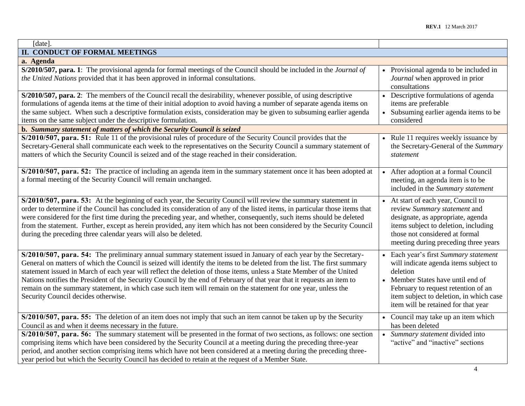| [date].                                                                                                                                                                                                                                                                                                                                                                                                                                                                                                                                                                                                                                                |                                                                                                                                                                                                                                                        |
|--------------------------------------------------------------------------------------------------------------------------------------------------------------------------------------------------------------------------------------------------------------------------------------------------------------------------------------------------------------------------------------------------------------------------------------------------------------------------------------------------------------------------------------------------------------------------------------------------------------------------------------------------------|--------------------------------------------------------------------------------------------------------------------------------------------------------------------------------------------------------------------------------------------------------|
| II. CONDUCT OF FORMAL MEETINGS                                                                                                                                                                                                                                                                                                                                                                                                                                                                                                                                                                                                                         |                                                                                                                                                                                                                                                        |
| a. Agenda                                                                                                                                                                                                                                                                                                                                                                                                                                                                                                                                                                                                                                              |                                                                                                                                                                                                                                                        |
| S/2010/507, para. 1: The provisional agenda for formal meetings of the Council should be included in the Journal of<br>the United Nations provided that it has been approved in informal consultations.                                                                                                                                                                                                                                                                                                                                                                                                                                                | • Provisional agenda to be included in<br>Journal when approved in prior<br>consultations                                                                                                                                                              |
| S/2010/507, para. 2: The members of the Council recall the desirability, whenever possible, of using descriptive<br>formulations of agenda items at the time of their initial adoption to avoid having a number of separate agenda items on<br>the same subject. When such a descriptive formulation exists, consideration may be given to subsuming earlier agenda<br>items on the same subject under the descriptive formulation.<br>b. Summary statement of matters of which the Security Council is seized                                                                                                                                         | Descriptive formulations of agenda<br>items are preferable<br>Subsuming earlier agenda items to be<br>considered                                                                                                                                       |
| S/2010/507, para. 51: Rule 11 of the provisional rules of procedure of the Security Council provides that the<br>Secretary-General shall communicate each week to the representatives on the Security Council a summary statement of<br>matters of which the Security Council is seized and of the stage reached in their consideration.                                                                                                                                                                                                                                                                                                               | Rule 11 requires weekly issuance by<br>the Secretary-General of the Summary<br>statement                                                                                                                                                               |
| S/2010/507, para. 52: The practice of including an agenda item in the summary statement once it has been adopted at<br>a formal meeting of the Security Council will remain unchanged.                                                                                                                                                                                                                                                                                                                                                                                                                                                                 | After adoption at a formal Council<br>meeting, an agenda item is to be<br>included in the Summary statement                                                                                                                                            |
| S/2010/507, para. 53: At the beginning of each year, the Security Council will review the summary statement in<br>order to determine if the Council has concluded its consideration of any of the listed items, in particular those items that<br>were considered for the first time during the preceding year, and whether, consequently, such items should be deleted<br>from the statement. Further, except as herein provided, any item which has not been considered by the Security Council<br>during the preceding three calendar years will also be deleted.                                                                                   | At start of each year, Council to<br>review Summary statement and<br>designate, as appropriate, agenda<br>items subject to deletion, including<br>those not considered at formal<br>meeting during preceding three years                               |
| S/2010/507, para. 54: The preliminary annual summary statement issued in January of each year by the Secretary-<br>General on matters of which the Council is seized will identify the items to be deleted from the list. The first summary<br>statement issued in March of each year will reflect the deletion of those items, unless a State Member of the United<br>Nations notifies the President of the Security Council by the end of February of that year that it requests an item to<br>remain on the summary statement, in which case such item will remain on the statement for one year, unless the<br>Security Council decides otherwise. | Each year's first Summary statement<br>will indicate agenda items subject to<br>deletion<br>• Member States have until end of<br>February to request retention of an<br>item subject to deletion, in which case<br>item will be retained for that year |
| S/2010/507, para. 55: The deletion of an item does not imply that such an item cannot be taken up by the Security<br>Council as and when it deems necessary in the future.<br>S/2010/507, para. 56: The summary statement will be presented in the format of two sections, as follows: one section<br>comprising items which have been considered by the Security Council at a meeting during the preceding three-year<br>period, and another section comprising items which have not been considered at a meeting during the preceding three-<br>year period but which the Security Council has decided to retain at the request of a Member State.   | • Council may take up an item which<br>has been deleted<br>• Summary statement divided into<br>"active" and "inactive" sections                                                                                                                        |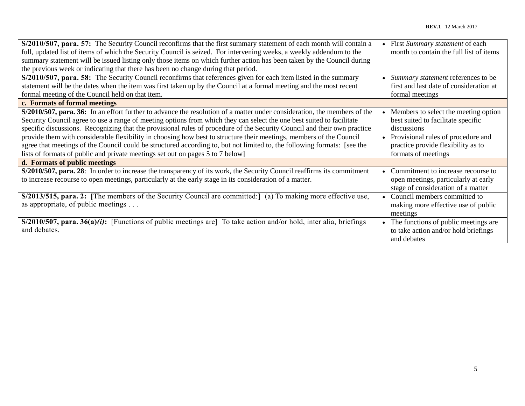| S/2010/507, para. 57: The Security Council reconfirms that the first summary statement of each month will contain a      | First Summary statement of each         |
|--------------------------------------------------------------------------------------------------------------------------|-----------------------------------------|
| full, updated list of items of which the Security Council is seized. For intervening weeks, a weekly addendum to the     | month to contain the full list of items |
| summary statement will be issued listing only those items on which further action has been taken by the Council during   |                                         |
| the previous week or indicating that there has been no change during that period.                                        |                                         |
| S/2010/507, para. 58: The Security Council reconfirms that references given for each item listed in the summary          | Summary statement references to be      |
| statement will be the dates when the item was first taken up by the Council at a formal meeting and the most recent      | first and last date of consideration at |
| formal meeting of the Council held on that item.                                                                         | formal meetings                         |
| c. Formats of formal meetings                                                                                            |                                         |
| S/2010/507, para. 36: In an effort further to advance the resolution of a matter under consideration, the members of the | Members to select the meeting option    |
| Security Council agree to use a range of meeting options from which they can select the one best suited to facilitate    | best suited to facilitate specific      |
| specific discussions. Recognizing that the provisional rules of procedure of the Security Council and their own practice | discussions                             |
| provide them with considerable flexibility in choosing how best to structure their meetings, members of the Council      | Provisional rules of procedure and      |
| agree that meetings of the Council could be structured according to, but not limited to, the following formats: [see the | practice provide flexibility as to      |
| lists of formats of public and private meetings set out on pages 5 to 7 below]                                           | formats of meetings                     |
| d. Formats of public meetings                                                                                            |                                         |
| S/2010/507, para. 28: In order to increase the transparency of its work, the Security Council reaffirms its commitment   | Commitment to increase recourse to      |
| to increase recourse to open meetings, particularly at the early stage in its consideration of a matter.                 | open meetings, particularly at early    |
|                                                                                                                          | stage of consideration of a matter      |
| $S/2013/515$ , para. 2: [The members of the Security Council are committed:] (a) To making more effective use,           | Council members committed to            |
| as appropriate, of public meetings                                                                                       | making more effective use of public     |
|                                                                                                                          | meetings                                |
| $S/2010/507$ , para. 36(a)(i): [Functions of public meetings are] To take action and/or hold, inter alia, briefings      | The functions of public meetings are    |
| and debates.                                                                                                             | to take action and/or hold briefings    |
|                                                                                                                          | and debates                             |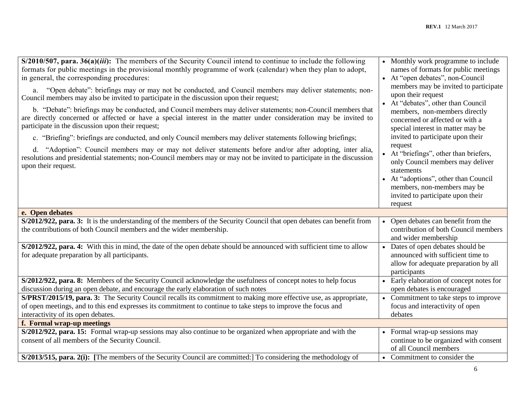| S/2012/922, para. 3: It is the understanding of the members of the Security Council that open debates can benefit from<br>• Open debates can benefit from the<br>contribution of both Council members<br>the contributions of both Council members and the wider membership.<br>and wider membership<br>S/2012/922, para. 4: With this in mind, the date of the open debate should be announced with sufficient time to allow<br>• Dates of open debates should be<br>announced with sufficient time to<br>for adequate preparation by all participants.<br>allow for adequate preparation by all<br>participants<br>S/2012/922, para. 8: Members of the Security Council acknowledge the usefulness of concept notes to help focus<br>• Early elaboration of concept notes for<br>discussion during an open debate, and encourage the early elaboration of such notes<br>open debates is encouraged<br>S/PRST/2015/19, para. 3: The Security Council recalls its commitment to making more effective use, as appropriate,<br>• Commitment to take steps to improve<br>of open meetings, and to this end expresses its commitment to continue to take steps to improve the focus and<br>focus and interactivity of open<br>interactivity of its open debates.<br>debates<br>f. Formal wrap-up meetings<br>S/2012/922, para. 15: Formal wrap-up sessions may also continue to be organized when appropriate and with the<br>• Formal wrap-up sessions may<br>consent of all members of the Security Council.<br>continue to be organized with consent<br>of all Council members<br>S/2013/515, para. 2(i): [The members of the Security Council are committed:] To considering the methodology of<br>• Commitment to consider the | $S/2010/507$ , para. $36(a)(iii)$ : The members of the Security Council intend to continue to include the following<br>formats for public meetings in the provisional monthly programme of work (calendar) when they plan to adopt,<br>in general, the corresponding procedures:<br>a. "Open debate": briefings may or may not be conducted, and Council members may deliver statements; non-<br>Council members may also be invited to participate in the discussion upon their request;<br>b. "Debate": briefings may be conducted, and Council members may deliver statements; non-Council members that<br>are directly concerned or affected or have a special interest in the matter under consideration may be invited to<br>participate in the discussion upon their request;<br>c. "Briefing": briefings are conducted, and only Council members may deliver statements following briefings;<br>d. "Adoption": Council members may or may not deliver statements before and/or after adopting, inter alia,<br>resolutions and presidential statements; non-Council members may or may not be invited to participate in the discussion<br>upon their request. | • Monthly work programme to include<br>names of formats for public meetings<br>• At "open debates", non-Council<br>members may be invited to participate<br>upon their request<br>• At "debates", other than Council<br>members, non-members directly<br>concerned or affected or with a<br>special interest in matter may be<br>invited to participate upon their<br>request<br>• At "briefings", other than briefers,<br>only Council members may deliver<br>statements<br>• At "adoptions", other than Council<br>members, non-members may be<br>invited to participate upon their<br>request |
|----------------------------------------------------------------------------------------------------------------------------------------------------------------------------------------------------------------------------------------------------------------------------------------------------------------------------------------------------------------------------------------------------------------------------------------------------------------------------------------------------------------------------------------------------------------------------------------------------------------------------------------------------------------------------------------------------------------------------------------------------------------------------------------------------------------------------------------------------------------------------------------------------------------------------------------------------------------------------------------------------------------------------------------------------------------------------------------------------------------------------------------------------------------------------------------------------------------------------------------------------------------------------------------------------------------------------------------------------------------------------------------------------------------------------------------------------------------------------------------------------------------------------------------------------------------------------------------------------------------------------------------------------------------------------------------------------------------------------------|----------------------------------------------------------------------------------------------------------------------------------------------------------------------------------------------------------------------------------------------------------------------------------------------------------------------------------------------------------------------------------------------------------------------------------------------------------------------------------------------------------------------------------------------------------------------------------------------------------------------------------------------------------------------------------------------------------------------------------------------------------------------------------------------------------------------------------------------------------------------------------------------------------------------------------------------------------------------------------------------------------------------------------------------------------------------------------------------------------------------------------------------------------------------|--------------------------------------------------------------------------------------------------------------------------------------------------------------------------------------------------------------------------------------------------------------------------------------------------------------------------------------------------------------------------------------------------------------------------------------------------------------------------------------------------------------------------------------------------------------------------------------------------|
|                                                                                                                                                                                                                                                                                                                                                                                                                                                                                                                                                                                                                                                                                                                                                                                                                                                                                                                                                                                                                                                                                                                                                                                                                                                                                                                                                                                                                                                                                                                                                                                                                                                                                                                                  | e. Open debates                                                                                                                                                                                                                                                                                                                                                                                                                                                                                                                                                                                                                                                                                                                                                                                                                                                                                                                                                                                                                                                                                                                                                      |                                                                                                                                                                                                                                                                                                                                                                                                                                                                                                                                                                                                  |
|                                                                                                                                                                                                                                                                                                                                                                                                                                                                                                                                                                                                                                                                                                                                                                                                                                                                                                                                                                                                                                                                                                                                                                                                                                                                                                                                                                                                                                                                                                                                                                                                                                                                                                                                  |                                                                                                                                                                                                                                                                                                                                                                                                                                                                                                                                                                                                                                                                                                                                                                                                                                                                                                                                                                                                                                                                                                                                                                      |                                                                                                                                                                                                                                                                                                                                                                                                                                                                                                                                                                                                  |
|                                                                                                                                                                                                                                                                                                                                                                                                                                                                                                                                                                                                                                                                                                                                                                                                                                                                                                                                                                                                                                                                                                                                                                                                                                                                                                                                                                                                                                                                                                                                                                                                                                                                                                                                  |                                                                                                                                                                                                                                                                                                                                                                                                                                                                                                                                                                                                                                                                                                                                                                                                                                                                                                                                                                                                                                                                                                                                                                      |                                                                                                                                                                                                                                                                                                                                                                                                                                                                                                                                                                                                  |
|                                                                                                                                                                                                                                                                                                                                                                                                                                                                                                                                                                                                                                                                                                                                                                                                                                                                                                                                                                                                                                                                                                                                                                                                                                                                                                                                                                                                                                                                                                                                                                                                                                                                                                                                  |                                                                                                                                                                                                                                                                                                                                                                                                                                                                                                                                                                                                                                                                                                                                                                                                                                                                                                                                                                                                                                                                                                                                                                      |                                                                                                                                                                                                                                                                                                                                                                                                                                                                                                                                                                                                  |
|                                                                                                                                                                                                                                                                                                                                                                                                                                                                                                                                                                                                                                                                                                                                                                                                                                                                                                                                                                                                                                                                                                                                                                                                                                                                                                                                                                                                                                                                                                                                                                                                                                                                                                                                  |                                                                                                                                                                                                                                                                                                                                                                                                                                                                                                                                                                                                                                                                                                                                                                                                                                                                                                                                                                                                                                                                                                                                                                      |                                                                                                                                                                                                                                                                                                                                                                                                                                                                                                                                                                                                  |
|                                                                                                                                                                                                                                                                                                                                                                                                                                                                                                                                                                                                                                                                                                                                                                                                                                                                                                                                                                                                                                                                                                                                                                                                                                                                                                                                                                                                                                                                                                                                                                                                                                                                                                                                  |                                                                                                                                                                                                                                                                                                                                                                                                                                                                                                                                                                                                                                                                                                                                                                                                                                                                                                                                                                                                                                                                                                                                                                      |                                                                                                                                                                                                                                                                                                                                                                                                                                                                                                                                                                                                  |
|                                                                                                                                                                                                                                                                                                                                                                                                                                                                                                                                                                                                                                                                                                                                                                                                                                                                                                                                                                                                                                                                                                                                                                                                                                                                                                                                                                                                                                                                                                                                                                                                                                                                                                                                  |                                                                                                                                                                                                                                                                                                                                                                                                                                                                                                                                                                                                                                                                                                                                                                                                                                                                                                                                                                                                                                                                                                                                                                      |                                                                                                                                                                                                                                                                                                                                                                                                                                                                                                                                                                                                  |
|                                                                                                                                                                                                                                                                                                                                                                                                                                                                                                                                                                                                                                                                                                                                                                                                                                                                                                                                                                                                                                                                                                                                                                                                                                                                                                                                                                                                                                                                                                                                                                                                                                                                                                                                  |                                                                                                                                                                                                                                                                                                                                                                                                                                                                                                                                                                                                                                                                                                                                                                                                                                                                                                                                                                                                                                                                                                                                                                      |                                                                                                                                                                                                                                                                                                                                                                                                                                                                                                                                                                                                  |
|                                                                                                                                                                                                                                                                                                                                                                                                                                                                                                                                                                                                                                                                                                                                                                                                                                                                                                                                                                                                                                                                                                                                                                                                                                                                                                                                                                                                                                                                                                                                                                                                                                                                                                                                  |                                                                                                                                                                                                                                                                                                                                                                                                                                                                                                                                                                                                                                                                                                                                                                                                                                                                                                                                                                                                                                                                                                                                                                      |                                                                                                                                                                                                                                                                                                                                                                                                                                                                                                                                                                                                  |
|                                                                                                                                                                                                                                                                                                                                                                                                                                                                                                                                                                                                                                                                                                                                                                                                                                                                                                                                                                                                                                                                                                                                                                                                                                                                                                                                                                                                                                                                                                                                                                                                                                                                                                                                  |                                                                                                                                                                                                                                                                                                                                                                                                                                                                                                                                                                                                                                                                                                                                                                                                                                                                                                                                                                                                                                                                                                                                                                      |                                                                                                                                                                                                                                                                                                                                                                                                                                                                                                                                                                                                  |
|                                                                                                                                                                                                                                                                                                                                                                                                                                                                                                                                                                                                                                                                                                                                                                                                                                                                                                                                                                                                                                                                                                                                                                                                                                                                                                                                                                                                                                                                                                                                                                                                                                                                                                                                  |                                                                                                                                                                                                                                                                                                                                                                                                                                                                                                                                                                                                                                                                                                                                                                                                                                                                                                                                                                                                                                                                                                                                                                      |                                                                                                                                                                                                                                                                                                                                                                                                                                                                                                                                                                                                  |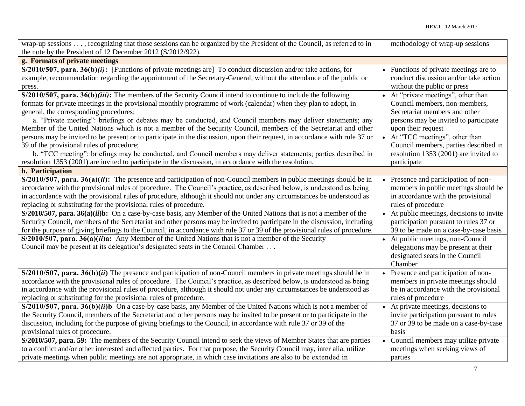| wrap-up sessions , recognizing that those sessions can be organized by the President of the Council, as referred to in      | methodology of wrap-up sessions                  |
|-----------------------------------------------------------------------------------------------------------------------------|--------------------------------------------------|
| the note by the President of 12 December 2012 (S/2012/922).                                                                 |                                                  |
| g. Formats of private meetings                                                                                              |                                                  |
| $S/2010/507$ , para. 36(b)(i): [Functions of private meetings are] To conduct discussion and/or take actions, for           | Functions of private meetings are to             |
| example, recommendation regarding the appointment of the Secretary-General, without the attendance of the public or         | conduct discussion and/or take action            |
| press.                                                                                                                      | without the public or press                      |
| $S/2010/507$ , para. 36(b)(iii): The members of the Security Council intend to continue to include the following            | • At "private meetings", other than              |
| formats for private meetings in the provisional monthly programme of work (calendar) when they plan to adopt, in            | Council members, non-members,                    |
| general, the corresponding procedures:                                                                                      | Secretariat members and other                    |
| a. "Private meeting": briefings or debates may be conducted, and Council members may deliver statements; any                | persons may be invited to participate            |
| Member of the United Nations which is not a member of the Security Council, members of the Secretariat and other            | upon their request                               |
| persons may be invited to be present or to participate in the discussion, upon their request, in accordance with rule 37 or | • At "TCC meetings", other than                  |
| 39 of the provisional rules of procedure;                                                                                   | Council members, parties described in            |
| b. "TCC meeting": briefings may be conducted, and Council members may deliver statements; parties described in              | resolution 1353 (2001) are invited to            |
| resolution 1353 (2001) are invited to participate in the discussion, in accordance with the resolution.                     | participate                                      |
| h. Participation                                                                                                            |                                                  |
| $S/2010/507$ , para. $36(a)(ii)$ : The presence and participation of non-Council members in public meetings should be in    | Presence and participation of non-<br>$\bullet$  |
| accordance with the provisional rules of procedure. The Council's practice, as described below, is understood as being      | members in public meetings should be             |
| in accordance with the provisional rules of procedure, although it should not under any circumstances be understood as      | in accordance with the provisional               |
| replacing or substituting for the provisional rules of procedure.                                                           | rules of procedure                               |
| $S/2010/507$ , para. 36(a)(ii)b: On a case-by-case basis, any Member of the United Nations that is not a member of the      | • At public meetings, decisions to invite        |
| Security Council, members of the Secretariat and other persons may be invited to participate in the discussion, including   | participation pursuant to rules 37 or            |
| for the purpose of giving briefings to the Council, in accordance with rule 37 or 39 of the provisional rules of procedure. | 39 to be made on a case-by-case basis            |
| $S/2010/507$ , para. 36(a)( <i>ii</i> )a: Any Member of the United Nations that is not a member of the Security             | • At public meetings, non-Council                |
| Council may be present at its delegation's designated seats in the Council Chamber                                          | delegations may be present at their              |
|                                                                                                                             | designated seats in the Council                  |
|                                                                                                                             | Chamber                                          |
| $S/2010/507$ , para. 36(b)(ii) The presence and participation of non-Council members in private meetings should be in       | Presence and participation of non-               |
| accordance with the provisional rules of procedure. The Council's practice, as described below, is understood as being      | members in private meetings should               |
| in accordance with the provisional rules of procedure, although it should not under any circumstances be understood as      | be in accordance with the provisional            |
| replacing or substituting for the provisional rules of procedure.                                                           | rules of procedure                               |
| $S/2010/507$ , para. 36(b)(ii)b On a case-by-case basis, any Member of the United Nations which is not a member of          | • At private meetings, decisions to              |
| the Security Council, members of the Secretariat and other persons may be invited to be present or to participate in the    | invite participation pursuant to rules           |
| discussion, including for the purpose of giving briefings to the Council, in accordance with rule 37 or 39 of the           | 37 or 39 to be made on a case-by-case            |
| provisional rules of procedure.                                                                                             | basis                                            |
| S/2010/507, para. 59: The members of the Security Council intend to seek the views of Member States that are parties        | Council members may utilize private<br>$\bullet$ |
| to a conflict and/or other interested and affected parties. For that purpose, the Security Council may, inter alia, utilize | meetings when seeking views of                   |
| private meetings when public meetings are not appropriate, in which case invitations are also to be extended in             | parties                                          |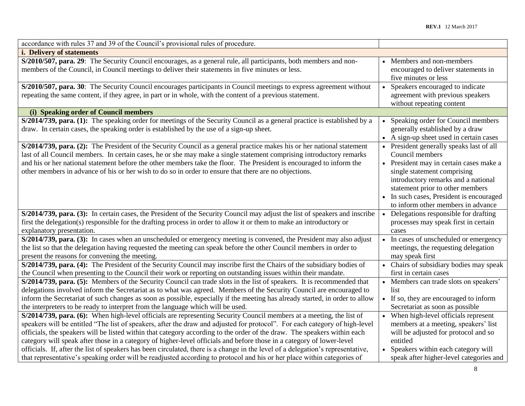| accordance with rules 37 and 39 of the Council's provisional rules of procedure.                                                                                                                                                                                                                                                                                                                                                                                                                                                                                                                                                                                                                                                                                       |           |                                                                                                                                                                                                                                                                                                    |
|------------------------------------------------------------------------------------------------------------------------------------------------------------------------------------------------------------------------------------------------------------------------------------------------------------------------------------------------------------------------------------------------------------------------------------------------------------------------------------------------------------------------------------------------------------------------------------------------------------------------------------------------------------------------------------------------------------------------------------------------------------------------|-----------|----------------------------------------------------------------------------------------------------------------------------------------------------------------------------------------------------------------------------------------------------------------------------------------------------|
| <i>i.</i> Delivery of statements                                                                                                                                                                                                                                                                                                                                                                                                                                                                                                                                                                                                                                                                                                                                       |           |                                                                                                                                                                                                                                                                                                    |
| S/2010/507, para. 29: The Security Council encourages, as a general rule, all participants, both members and non-<br>members of the Council, in Council meetings to deliver their statements in five minutes or less.                                                                                                                                                                                                                                                                                                                                                                                                                                                                                                                                                  |           | Members and non-members<br>encouraged to deliver statements in<br>five minutes or less                                                                                                                                                                                                             |
| S/2010/507, para. 30: The Security Council encourages participants in Council meetings to express agreement without<br>repeating the same content, if they agree, in part or in whole, with the content of a previous statement.                                                                                                                                                                                                                                                                                                                                                                                                                                                                                                                                       |           | Speakers encouraged to indicate<br>agreement with previous speakers<br>without repeating content                                                                                                                                                                                                   |
| (i) Speaking order of Council members                                                                                                                                                                                                                                                                                                                                                                                                                                                                                                                                                                                                                                                                                                                                  |           |                                                                                                                                                                                                                                                                                                    |
| S/2014/739, para. (1): The speaking order for meetings of the Security Council as a general practice is established by a<br>draw. In certain cases, the speaking order is established by the use of a sign-up sheet.                                                                                                                                                                                                                                                                                                                                                                                                                                                                                                                                                   |           | Speaking order for Council members<br>generally established by a draw<br>• A sign-up sheet used in certain cases                                                                                                                                                                                   |
| S/2014/739, para. (2): The President of the Security Council as a general practice makes his or her national statement<br>last of all Council members. In certain cases, he or she may make a single statement comprising introductory remarks<br>and his or her national statement before the other members take the floor. The President is encouraged to inform the<br>other members in advance of his or her wish to do so in order to ensure that there are no objections.                                                                                                                                                                                                                                                                                        |           | • President generally speaks last of all<br>Council members<br>• President may in certain cases make a<br>single statement comprising<br>introductory remarks and a national<br>statement prior to other members<br>• In such cases, President is encouraged<br>to inform other members in advance |
| S/2014/739, para. (3): In certain cases, the President of the Security Council may adjust the list of speakers and inscribe<br>first the delegation(s) responsible for the drafting process in order to allow it or them to make an introductory or<br>explanatory presentation.                                                                                                                                                                                                                                                                                                                                                                                                                                                                                       | $\bullet$ | Delegations responsible for drafting<br>processes may speak first in certain<br>cases                                                                                                                                                                                                              |
| S/2014/739, para. (3): In cases when an unscheduled or emergency meeting is convened, the President may also adjust<br>the list so that the delegation having requested the meeting can speak before the other Council members in order to<br>present the reasons for convening the meeting.                                                                                                                                                                                                                                                                                                                                                                                                                                                                           |           | • In cases of unscheduled or emergency<br>meetings, the requesting delegation<br>may speak first                                                                                                                                                                                                   |
| S/2014/739, para. (4): The President of the Security Council may inscribe first the Chairs of the subsidiary bodies of<br>the Council when presenting to the Council their work or reporting on outstanding issues within their mandate.                                                                                                                                                                                                                                                                                                                                                                                                                                                                                                                               |           | • Chairs of subsidiary bodies may speak<br>first in certain cases                                                                                                                                                                                                                                  |
| S/2014/739, para. (5): Members of the Security Council can trade slots in the list of speakers. It is recommended that<br>delegations involved inform the Secretariat as to what was agreed. Members of the Security Council are encouraged to<br>inform the Secretariat of such changes as soon as possible, especially if the meeting has already started, in order to allow<br>the interpreters to be ready to interpret from the language which will be used.                                                                                                                                                                                                                                                                                                      |           | • Members can trade slots on speakers'<br>list<br>• If so, they are encouraged to inform<br>Secretariat as soon as possible                                                                                                                                                                        |
| S/2014/739, para. (6): When high-level officials are representing Security Council members at a meeting, the list of<br>speakers will be entitled "The list of speakers, after the draw and adjusted for protocol". For each category of high-level<br>officials, the speakers will be listed within that category according to the order of the draw. The speakers within each<br>category will speak after those in a category of higher-level officials and before those in a category of lower-level<br>officials. If, after the list of speakers has been circulated, there is a change in the level of a delegation's representative,<br>that representative's speaking order will be readjusted according to protocol and his or her place within categories of |           | • When high-level officials represent<br>members at a meeting, speakers' list<br>will be adjusted for protocol and so<br>entitled<br>• Speakers within each category will<br>speak after higher-level categories and                                                                               |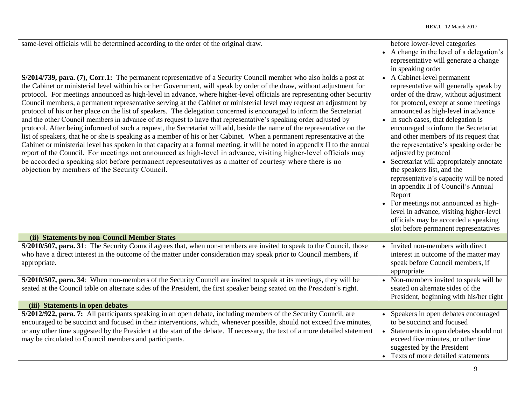| same-level officials will be determined according to the order of the original draw.<br>S/2014/739, para. (7), Corr.1: The permanent representative of a Security Council member who also holds a post at<br>the Cabinet or ministerial level within his or her Government, will speak by order of the draw, without adjustment for<br>protocol. For meetings announced as high-level in advance, where higher-level officials are representing other Security<br>Council members, a permanent representative serving at the Cabinet or ministerial level may request an adjustment by<br>protocol of his or her place on the list of speakers. The delegation concerned is encouraged to inform the Secretariat<br>and the other Council members in advance of its request to have that representative's speaking order adjusted by<br>protocol. After being informed of such a request, the Secretariat will add, beside the name of the representative on the | before lower-level categories<br>• A change in the level of a delegation's<br>representative will generate a change<br>in speaking order<br>• A Cabinet-level permanent<br>representative will generally speak by<br>order of the draw, without adjustment<br>for protocol, except at some meetings<br>announced as high-level in advance<br>• In such cases, that delegation is<br>encouraged to inform the Secretariat                           |
|------------------------------------------------------------------------------------------------------------------------------------------------------------------------------------------------------------------------------------------------------------------------------------------------------------------------------------------------------------------------------------------------------------------------------------------------------------------------------------------------------------------------------------------------------------------------------------------------------------------------------------------------------------------------------------------------------------------------------------------------------------------------------------------------------------------------------------------------------------------------------------------------------------------------------------------------------------------|----------------------------------------------------------------------------------------------------------------------------------------------------------------------------------------------------------------------------------------------------------------------------------------------------------------------------------------------------------------------------------------------------------------------------------------------------|
| list of speakers, that he or she is speaking as a member of his or her Cabinet. When a permanent representative at the<br>Cabinet or ministerial level has spoken in that capacity at a formal meeting, it will be noted in appendix II to the annual<br>report of the Council. For meetings not announced as high-level in advance, visiting higher-level officials may<br>be accorded a speaking slot before permanent representatives as a matter of courtesy where there is no<br>objection by members of the Security Council.                                                                                                                                                                                                                                                                                                                                                                                                                              | and other members of its request that<br>the representative's speaking order be<br>adjusted by protocol<br>• Secretariat will appropriately annotate<br>the speakers list, and the<br>representative's capacity will be noted<br>in appendix II of Council's Annual<br>Report<br>• For meetings not announced as high-<br>level in advance, visiting higher-level<br>officials may be accorded a speaking<br>slot before permanent representatives |
| (ii) Statements by non-Council Member States                                                                                                                                                                                                                                                                                                                                                                                                                                                                                                                                                                                                                                                                                                                                                                                                                                                                                                                     |                                                                                                                                                                                                                                                                                                                                                                                                                                                    |
| S/2010/507, para. 31: The Security Council agrees that, when non-members are invited to speak to the Council, those<br>who have a direct interest in the outcome of the matter under consideration may speak prior to Council members, if<br>appropriate.                                                                                                                                                                                                                                                                                                                                                                                                                                                                                                                                                                                                                                                                                                        | • Invited non-members with direct<br>interest in outcome of the matter may<br>speak before Council members, if<br>appropriate                                                                                                                                                                                                                                                                                                                      |
| S/2010/507, para. 34: When non-members of the Security Council are invited to speak at its meetings, they will be<br>seated at the Council table on alternate sides of the President, the first speaker being seated on the President's right.                                                                                                                                                                                                                                                                                                                                                                                                                                                                                                                                                                                                                                                                                                                   | • Non-members invited to speak will be<br>seated on alternate sides of the<br>President, beginning with his/her right                                                                                                                                                                                                                                                                                                                              |
| (iii) Statements in open debates                                                                                                                                                                                                                                                                                                                                                                                                                                                                                                                                                                                                                                                                                                                                                                                                                                                                                                                                 |                                                                                                                                                                                                                                                                                                                                                                                                                                                    |
| S/2012/922, para. 7: All participants speaking in an open debate, including members of the Security Council, are<br>encouraged to be succinct and focused in their interventions, which, whenever possible, should not exceed five minutes,<br>or any other time suggested by the President at the start of the debate. If necessary, the text of a more detailed statement<br>may be circulated to Council members and participants.                                                                                                                                                                                                                                                                                                                                                                                                                                                                                                                            | • Speakers in open debates encouraged<br>to be succinct and focused<br>• Statements in open debates should not<br>exceed five minutes, or other time<br>suggested by the President<br>• Texts of more detailed statements                                                                                                                                                                                                                          |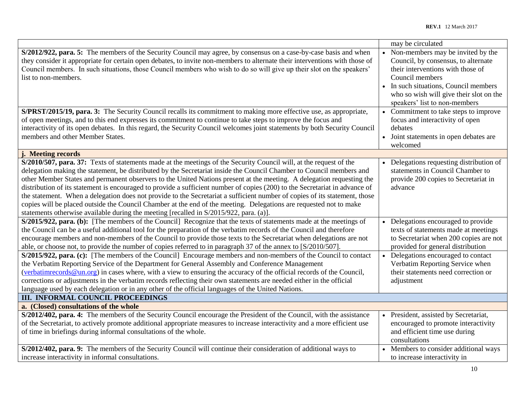|                                                                                                                                                                                                                                                                                                                                                                                                                                                                                                                                                                                                                                                                                                                                                                                                                                                  | may be circulated                                                                                                                                                                                                                                     |
|--------------------------------------------------------------------------------------------------------------------------------------------------------------------------------------------------------------------------------------------------------------------------------------------------------------------------------------------------------------------------------------------------------------------------------------------------------------------------------------------------------------------------------------------------------------------------------------------------------------------------------------------------------------------------------------------------------------------------------------------------------------------------------------------------------------------------------------------------|-------------------------------------------------------------------------------------------------------------------------------------------------------------------------------------------------------------------------------------------------------|
| S/2012/922, para. 5: The members of the Security Council may agree, by consensus on a case-by-case basis and when<br>they consider it appropriate for certain open debates, to invite non-members to alternate their interventions with those of<br>Council members. In such situations, those Council members who wish to do so will give up their slot on the speakers'<br>list to non-members.                                                                                                                                                                                                                                                                                                                                                                                                                                                | • Non-members may be invited by the<br>Council, by consensus, to alternate<br>their interventions with those of<br>Council members<br>In such situations, Council members<br>who so wish will give their slot on the<br>speakers' list to non-members |
| S/PRST/2015/19, para. 3: The Security Council recalls its commitment to making more effective use, as appropriate,<br>of open meetings, and to this end expresses its commitment to continue to take steps to improve the focus and<br>interactivity of its open debates. In this regard, the Security Council welcomes joint statements by both Security Council<br>members and other Member States.                                                                                                                                                                                                                                                                                                                                                                                                                                            | • Commitment to take steps to improve<br>focus and interactivity of open<br>debates<br>• Joint statements in open debates are<br>welcomed                                                                                                             |
| j. Meeting records                                                                                                                                                                                                                                                                                                                                                                                                                                                                                                                                                                                                                                                                                                                                                                                                                               |                                                                                                                                                                                                                                                       |
| S/2010/507, para. 37: Texts of statements made at the meetings of the Security Council will, at the request of the<br>delegation making the statement, be distributed by the Secretariat inside the Council Chamber to Council members and<br>other Member States and permanent observers to the United Nations present at the meeting. A delegation requesting the<br>distribution of its statement is encouraged to provide a sufficient number of copies (200) to the Secretariat in advance of<br>the statement. When a delegation does not provide to the Secretariat a sufficient number of copies of its statement, those<br>copies will be placed outside the Council Chamber at the end of the meeting. Delegations are requested not to make<br>statements otherwise available during the meeting [recalled in S/2015/922, para. (a)]. | • Delegations requesting distribution of<br>statements in Council Chamber to<br>provide 200 copies to Secretariat in<br>advance                                                                                                                       |
| S/2015/922, para. (b): [The members of the Council] Recognize that the texts of statements made at the meetings of<br>the Council can be a useful additional tool for the preparation of the verbatim records of the Council and therefore<br>encourage members and non-members of the Council to provide those texts to the Secretariat when delegations are not<br>able, or choose not, to provide the number of copies referred to in paragraph 37 of the annex to [S/2010/507].                                                                                                                                                                                                                                                                                                                                                              | • Delegations encouraged to provide<br>texts of statements made at meetings<br>to Secretariat when 200 copies are not<br>provided for general distribution                                                                                            |
| S/2015/922, para. (c): [The members of the Council] Encourage members and non-members of the Council to contact<br>the Verbatim Reporting Service of the Department for General Assembly and Conference Management<br>(verbatime eords@un.org) in cases where, with a view to ensuring the accuracy of the official records of the Council,<br>corrections or adjustments in the verbatim records reflecting their own statements are needed either in the official<br>language used by each delegation or in any other of the official languages of the United Nations.                                                                                                                                                                                                                                                                         | • Delegations encouraged to contact<br>Verbatim Reporting Service when<br>their statements need correction or<br>adjustment                                                                                                                           |
| <b>III. INFORMAL COUNCIL PROCEEDINGS</b>                                                                                                                                                                                                                                                                                                                                                                                                                                                                                                                                                                                                                                                                                                                                                                                                         |                                                                                                                                                                                                                                                       |
| a. (Closed) consultations of the whole                                                                                                                                                                                                                                                                                                                                                                                                                                                                                                                                                                                                                                                                                                                                                                                                           |                                                                                                                                                                                                                                                       |
| S/2012/402, para. 4: The members of the Security Council encourage the President of the Council, with the assistance<br>of the Secretariat, to actively promote additional appropriate measures to increase interactivity and a more efficient use<br>of time in briefings during informal consultations of the whole.                                                                                                                                                                                                                                                                                                                                                                                                                                                                                                                           | • President, assisted by Secretariat,<br>encouraged to promote interactivity<br>and efficient time use during<br>consultations                                                                                                                        |
| S/2012/402, para. 9: The members of the Security Council will continue their consideration of additional ways to<br>increase interactivity in informal consultations.                                                                                                                                                                                                                                                                                                                                                                                                                                                                                                                                                                                                                                                                            | • Members to consider additional ways<br>to increase interactivity in                                                                                                                                                                                 |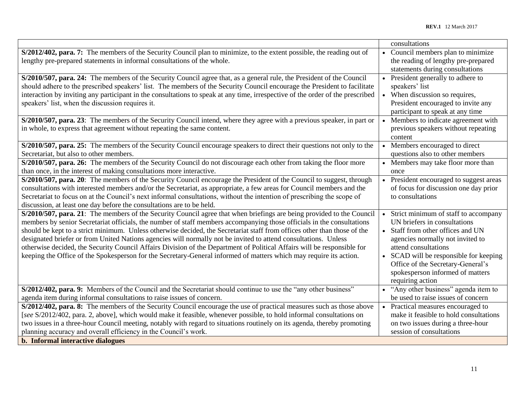|                                                                                                                                |           | consultations                           |
|--------------------------------------------------------------------------------------------------------------------------------|-----------|-----------------------------------------|
| S/2012/402, para. 7: The members of the Security Council plan to minimize, to the extent possible, the reading out of          |           | Council members plan to minimize        |
| lengthy pre-prepared statements in informal consultations of the whole.                                                        |           | the reading of lengthy pre-prepared     |
|                                                                                                                                |           | statements during consultations         |
| S/2010/507, para. 24: The members of the Security Council agree that, as a general rule, the President of the Council          | $\bullet$ | President generally to adhere to        |
| should adhere to the prescribed speakers' list. The members of the Security Council encourage the President to facilitate      |           | speakers' list                          |
| interaction by inviting any participant in the consultations to speak at any time, irrespective of the order of the prescribed |           | • When discussion so requires,          |
| speakers' list, when the discussion requires it.                                                                               |           | President encouraged to invite any      |
|                                                                                                                                |           | participant to speak at any time        |
| S/2010/507, para. 23: The members of the Security Council intend, where they agree with a previous speaker, in part or         |           | Members to indicate agreement with      |
| in whole, to express that agreement without repeating the same content.                                                        |           | previous speakers without repeating     |
|                                                                                                                                |           | content                                 |
| S/2010/507, para. 25: The members of the Security Council encourage speakers to direct their questions not only to the         |           | Members encouraged to direct            |
| Secretariat, but also to other members.                                                                                        |           | questions also to other members         |
| S/2010/507, para. 26: The members of the Security Council do not discourage each other from taking the floor more              |           | • Members may take floor more than      |
| than once, in the interest of making consultations more interactive.                                                           |           | once                                    |
| S/2010/507, para. 20: The members of the Security Council encourage the President of the Council to suggest, through           |           | • President encouraged to suggest areas |
| consultations with interested members and/or the Secretariat, as appropriate, a few areas for Council members and the          |           | of focus for discussion one day prior   |
| Secretariat to focus on at the Council's next informal consultations, without the intention of prescribing the scope of        |           | to consultations                        |
| discussion, at least one day before the consultations are to be held.                                                          |           |                                         |
| S/2010/507, para. 21: The members of the Security Council agree that when briefings are being provided to the Council          |           | Strict minimum of staff to accompany    |
| members by senior Secretariat officials, the number of staff members accompanying those officials in the consultations         |           | UN briefers in consultations            |
| should be kept to a strict minimum. Unless otherwise decided, the Secretariat staff from offices other than those of the       |           | Staff from other offices and UN         |
| designated briefer or from United Nations agencies will normally not be invited to attend consultations. Unless                |           | agencies normally not invited to        |
| otherwise decided, the Security Council Affairs Division of the Department of Political Affairs will be responsible for        |           | attend consultations                    |
| keeping the Office of the Spokesperson for the Secretary-General informed of matters which may require its action.             |           | SCAD will be responsible for keeping    |
|                                                                                                                                |           | Office of the Secretary-General's       |
|                                                                                                                                |           | spokesperson informed of matters        |
|                                                                                                                                |           | requiring action                        |
| S/2012/402, para. 9: Members of the Council and the Secretariat should continue to use the "any other business"                |           | • "Any other business" agenda item to   |
| agenda item during informal consultations to raise issues of concern.                                                          |           | be used to raise issues of concern      |
| S/2012/402, para. 8: The members of the Security Council encourage the use of practical measures such as those above           |           | • Practical measures encouraged to      |
| [see S/2012/402, para. 2, above], which would make it feasible, whenever possible, to hold informal consultations on           |           | make it feasible to hold consultations  |
| two issues in a three-hour Council meeting, notably with regard to situations routinely on its agenda, thereby promoting       |           | on two issues during a three-hour       |
| planning accuracy and overall efficiency in the Council's work.                                                                |           | session of consultations                |
| b. Informal interactive dialogues                                                                                              |           |                                         |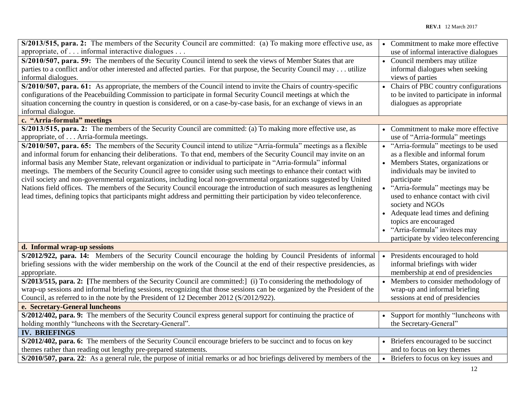| S/2013/515, para. 2: The members of the Security Council are committed: (a) To making more effective use, as              | • Commitment to make more effective      |
|---------------------------------------------------------------------------------------------------------------------------|------------------------------------------|
| appropriate, of informal interactive dialogues                                                                            | use of informal interactive dialogues    |
| S/2010/507, para. 59: The members of the Security Council intend to seek the views of Member States that are              | • Council members may utilize            |
| parties to a conflict and/or other interested and affected parties. For that purpose, the Security Council may utilize    | informal dialogues when seeking          |
| informal dialogues.                                                                                                       | views of parties                         |
| S/2010/507, para. 61: As appropriate, the members of the Council intend to invite the Chairs of country-specific          | • Chairs of PBC country configurations   |
| configurations of the Peacebuilding Commission to participate in formal Security Council meetings at which the            | to be invited to participate in informal |
| situation concerning the country in question is considered, or on a case-by-case basis, for an exchange of views in an    | dialogues as appropriate                 |
| informal dialogue.                                                                                                        |                                          |
| c. "Arria-formula" meetings                                                                                               |                                          |
| S/2013/515, para. 2: The members of the Security Council are committed: (a) To making more effective use, as              | • Commitment to make more effective      |
| appropriate, of Arria-formula meetings.                                                                                   | use of "Arria-formula" meetings          |
| S/2010/507, para. 65: The members of the Security Council intend to utilize "Arria-formula" meetings as a flexible        | • "Arria-formula" meetings to be used    |
| and informal forum for enhancing their deliberations. To that end, members of the Security Council may invite on an       | as a flexible and informal forum         |
| informal basis any Member State, relevant organization or individual to participate in "Arria-formula" informal           | • Members States, organizations or       |
| meetings. The members of the Security Council agree to consider using such meetings to enhance their contact with         | individuals may be invited to            |
| civil society and non-governmental organizations, including local non-governmental organizations suggested by United      | participate                              |
| Nations field offices. The members of the Security Council encourage the introduction of such measures as lengthening     | • "Arria-formula" meetings may be        |
| lead times, defining topics that participants might address and permitting their participation by video teleconference.   | used to enhance contact with civil       |
|                                                                                                                           | society and NGOs                         |
|                                                                                                                           | • Adequate lead times and defining       |
|                                                                                                                           | topics are encouraged                    |
|                                                                                                                           | "Arria-formula" invitees may             |
|                                                                                                                           | participate by video teleconferencing    |
| d. Informal wrap-up sessions                                                                                              |                                          |
| S/2012/922, para. 14: Members of the Security Council encourage the holding by Council Presidents of informal             | Presidents encouraged to hold            |
| briefing sessions with the wider membership on the work of the Council at the end of their respective presidencies, as    | informal briefings with wider            |
| appropriate.                                                                                                              | membership at end of presidencies        |
| S/2013/515, para. 2: [The members of the Security Council are committed:] (i) To considering the methodology of           | • Members to consider methodology of     |
| wrap-up sessions and informal briefing sessions, recognizing that those sessions can be organized by the President of the | wrap-up and informal briefing            |
| Council, as referred to in the note by the President of 12 December 2012 (S/2012/922).                                    | sessions at end of presidencies          |
| e. Secretary-General luncheons                                                                                            |                                          |
| S/2012/402, para. 9: The members of the Security Council express general support for continuing the practice of           | Support for monthly "luncheons with      |
| holding monthly "luncheons with the Secretary-General".                                                                   | the Secretary-General"                   |
| <b>IV. BRIEFINGS</b>                                                                                                      |                                          |
| S/2012/402, para. 6: The members of the Security Council encourage briefers to be succinct and to focus on key            | • Briefers encouraged to be succinct     |
| themes rather than reading out lengthy pre-prepared statements.                                                           | and to focus on key themes               |
| S/2010/507, para. 22: As a general rule, the purpose of initial remarks or ad hoc briefings delivered by members of the   | • Briefers to focus on key issues and    |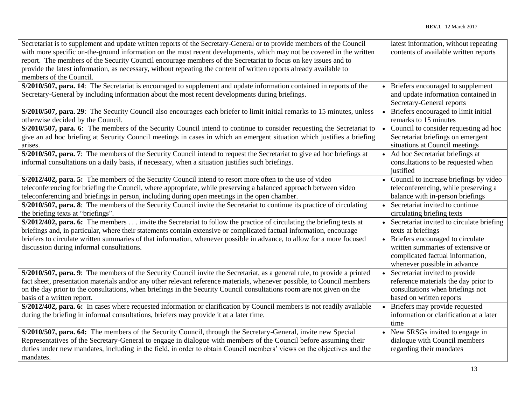| Secretariat is to supplement and update written reports of the Secretary-General or to provide members of the Council<br>with more specific on-the-ground information on the most recent developments, which may not be covered in the written<br>report. The members of the Security Council encourage members of the Secretariat to focus on key issues and to<br>provide the latest information, as necessary, without repeating the content of written reports already available to<br>members of the Council. | latest information, without repeating<br>contents of available written reports                                                                                                                                   |
|--------------------------------------------------------------------------------------------------------------------------------------------------------------------------------------------------------------------------------------------------------------------------------------------------------------------------------------------------------------------------------------------------------------------------------------------------------------------------------------------------------------------|------------------------------------------------------------------------------------------------------------------------------------------------------------------------------------------------------------------|
| S/2010/507, para. 14: The Secretariat is encouraged to supplement and update information contained in reports of the<br>Secretary-General by including information about the most recent developments during briefings.                                                                                                                                                                                                                                                                                            | Briefers encouraged to supplement<br>and update information contained in<br>Secretary-General reports                                                                                                            |
| S/2010/507, para. 29: The Security Council also encourages each briefer to limit initial remarks to 15 minutes, unless<br>otherwise decided by the Council.                                                                                                                                                                                                                                                                                                                                                        | Briefers encouraged to limit initial<br>remarks to 15 minutes                                                                                                                                                    |
| S/2010/507, para. 6: The members of the Security Council intend to continue to consider requesting the Secretariat to<br>give an ad hoc briefing at Security Council meetings in cases in which an emergent situation which justifies a briefing<br>arises.                                                                                                                                                                                                                                                        | Council to consider requesting ad hoc<br>Secretariat briefings on emergent<br>situations at Council meetings                                                                                                     |
| S/2010/507, para. 7: The members of the Security Council intend to request the Secretariat to give ad hoc briefings at<br>informal consultations on a daily basis, if necessary, when a situation justifies such briefings.                                                                                                                                                                                                                                                                                        | • Ad hoc Secretariat briefings at<br>consultations to be requested when<br>justified                                                                                                                             |
| S/2012/402, para. 5: The members of the Security Council intend to resort more often to the use of video<br>teleconferencing for briefing the Council, where appropriate, while preserving a balanced approach between video<br>teleconferencing and briefings in person, including during open meetings in the open chamber.                                                                                                                                                                                      | • Council to increase briefings by video<br>teleconferencing, while preserving a<br>balance with in-person briefings                                                                                             |
| S/2010/507, para. 8: The members of the Security Council invite the Secretariat to continue its practice of circulating<br>the briefing texts at "briefings".                                                                                                                                                                                                                                                                                                                                                      | • Secretariat invited to continue<br>circulating briefing texts                                                                                                                                                  |
| S/2012/402, para. 6: The members invite the Secretariat to follow the practice of circulating the briefing texts at<br>briefings and, in particular, where their statements contain extensive or complicated factual information, encourage<br>briefers to circulate written summaries of that information, whenever possible in advance, to allow for a more focused<br>discussion during informal consultations.                                                                                                 | • Secretariat invited to circulate briefing<br>texts at briefings<br>• Briefers encouraged to circulate<br>written summaries of extensive or<br>complicated factual information,<br>whenever possible in advance |
| S/2010/507, para. 9: The members of the Security Council invite the Secretariat, as a general rule, to provide a printed<br>fact sheet, presentation materials and/or any other relevant reference materials, whenever possible, to Council members<br>on the day prior to the consultations, when briefings in the Security Council consultations room are not given on the<br>basis of a written report.                                                                                                         | Secretariat invited to provide<br>reference materials the day prior to<br>consultations when briefings not<br>based on written reports                                                                           |
| S/2012/402, para. 6: In cases where requested information or clarification by Council members is not readily available<br>during the briefing in informal consultations, briefers may provide it at a later time.                                                                                                                                                                                                                                                                                                  | Briefers may provide requested<br>information or clarification at a later<br>time                                                                                                                                |
| S/2010/507, para. 64: The members of the Security Council, through the Secretary-General, invite new Special<br>Representatives of the Secretary-General to engage in dialogue with members of the Council before assuming their<br>duties under new mandates, including in the field, in order to obtain Council members' views on the objectives and the<br>mandates.                                                                                                                                            | New SRSGs invited to engage in<br>dialogue with Council members<br>regarding their mandates                                                                                                                      |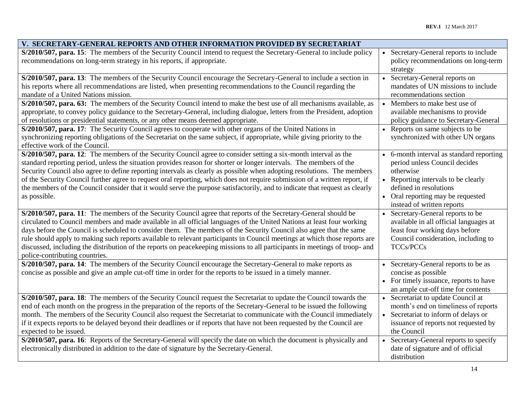| V. SECRETARY-GENERAL REPORTS AND OTHER INFORMATION PROVIDED BY SECRETARIAT                                                                                                                                                                                                                                                                                                                                                                                                                                                                                                                                                                                      |           |                                                                                                                                                                                                                            |
|-----------------------------------------------------------------------------------------------------------------------------------------------------------------------------------------------------------------------------------------------------------------------------------------------------------------------------------------------------------------------------------------------------------------------------------------------------------------------------------------------------------------------------------------------------------------------------------------------------------------------------------------------------------------|-----------|----------------------------------------------------------------------------------------------------------------------------------------------------------------------------------------------------------------------------|
| S/2010/507, para. 15: The members of the Security Council intend to request the Secretary-General to include policy<br>recommendations on long-term strategy in his reports, if appropriate.                                                                                                                                                                                                                                                                                                                                                                                                                                                                    |           | Secretary-General reports to include<br>policy recommendations on long-term<br>strategy                                                                                                                                    |
| S/2010/507, para. 13: The members of the Security Council encourage the Secretary-General to include a section in<br>his reports where all recommendations are listed, when presenting recommendations to the Council regarding the<br>mandate of a United Nations mission.                                                                                                                                                                                                                                                                                                                                                                                     |           | Secretary-General reports on<br>mandates of UN missions to include<br>recommendations section                                                                                                                              |
| S/2010/507, para. 63: The members of the Security Council intend to make the best use of all mechanisms available, as<br>appropriate, to convey policy guidance to the Secretary-General, including dialogue, letters from the President, adoption<br>of resolutions or presidential statements, or any other means deemed appropriate.<br>S/2010/507, para. 17: The Security Council agrees to cooperate with other organs of the United Nations in                                                                                                                                                                                                            |           | • Members to make best use of<br>available mechanisms to provide<br>policy guidance to Secretary-General<br>• Reports on same subjects to be                                                                               |
| synchronizing reporting obligations of the Secretariat on the same subject, if appropriate, while giving priority to the<br>effective work of the Council.                                                                                                                                                                                                                                                                                                                                                                                                                                                                                                      |           | synchronized with other UN organs                                                                                                                                                                                          |
| S/2010/507, para. 12: The members of the Security Council agree to consider setting a six-month interval as the<br>standard reporting period, unless the situation provides reason for shorter or longer intervals. The members of the<br>Security Council also agree to define reporting intervals as clearly as possible when adopting resolutions. The members<br>of the Security Council further agree to request oral reporting, which does not require submission of a written report, if<br>the members of the Council consider that it would serve the purpose satisfactorily, and to indicate that request as clearly<br>as possible.                  |           | • 6-month interval as standard reporting<br>period unless Council decides<br>otherwise<br>• Reporting intervals to be clearly<br>defined in resolutions<br>• Oral reporting may be requested<br>instead of written reports |
| S/2010/507, para. 11: The members of the Security Council agree that reports of the Secretary-General should be<br>circulated to Council members and made available in all official languages of the United Nations at least four working<br>days before the Council is scheduled to consider them. The members of the Security Council also agree that the same<br>rule should apply to making such reports available to relevant participants in Council meetings at which those reports are<br>discussed, including the distribution of the reports on peacekeeping missions to all participants in meetings of troop- and<br>police-contributing countries. | $\bullet$ | Secretary-General reports to be<br>available in all official languages at<br>least four working days before<br>Council consideration, including to<br><b>TCCs/PCCs</b>                                                     |
| S/2010/507, para. 14: The members of the Security Council encourage the Secretary-General to make reports as<br>concise as possible and give an ample cut-off time in order for the reports to be issued in a timely manner.                                                                                                                                                                                                                                                                                                                                                                                                                                    |           | • Secretary-General reports to be as<br>concise as possible<br>• For timely issuance, reports to have<br>an ample cut-off time for contents                                                                                |
| S/2010/507, para. 18: The members of the Security Council request the Secretariat to update the Council towards the<br>end of each month on the progress in the preparation of the reports of the Secretary-General to be issued the following<br>month. The members of the Security Council also request the Secretariat to communicate with the Council immediately<br>if it expects reports to be delayed beyond their deadlines or if reports that have not been requested by the Council are<br>expected to be issued.<br>S/2010/507, para. 16: Reports of the Secretary-General will specify the date on which the document is physically and             |           | Secretariat to update Council at<br>month's end on timeliness of reports<br>• Secretariat to inform of delays or<br>issuance of reports not requested by<br>the Council<br>Secretary-General reports to specify            |
| electronically distributed in addition to the date of signature by the Secretary-General.                                                                                                                                                                                                                                                                                                                                                                                                                                                                                                                                                                       |           | date of signature and of official<br>distribution                                                                                                                                                                          |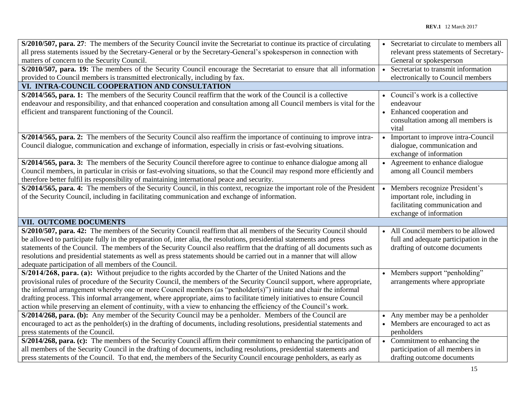| S/2010/507, para. 27: The members of the Security Council invite the Secretariat to continue its practice of circulating   |           | Secretariat to circulate to members all |
|----------------------------------------------------------------------------------------------------------------------------|-----------|-----------------------------------------|
| all press statements issued by the Secretary-General or by the Secretary-General's spokesperson in connection with         |           | relevant press statements of Secretary- |
| matters of concern to the Security Council.                                                                                |           | General or spokesperson                 |
| S/2010/507, para. 19: The members of the Security Council encourage the Secretariat to ensure that all information         | $\bullet$ | Secretariat to transmit information     |
| provided to Council members is transmitted electronically, including by fax.                                               |           | electronically to Council members       |
| VI. INTRA-COUNCIL COOPERATION AND CONSULTATION                                                                             |           |                                         |
| S/2014/565, para. 1: The members of the Security Council reaffirm that the work of the Council is a collective             |           | • Council's work is a collective        |
| endeavour and responsibility, and that enhanced cooperation and consultation among all Council members is vital for the    |           | endeavour                               |
| efficient and transparent functioning of the Council.                                                                      |           | • Enhanced cooperation and              |
|                                                                                                                            |           | consultation among all members is       |
|                                                                                                                            |           | vital                                   |
| S/2014/565, para. 2: The members of the Security Council also reaffirm the importance of continuing to improve intra-      |           | Important to improve intra-Council      |
| Council dialogue, communication and exchange of information, especially in crisis or fast-evolving situations.             |           | dialogue, communication and             |
|                                                                                                                            |           | exchange of information                 |
| S/2014/565, para. 3: The members of the Security Council therefore agree to continue to enhance dialogue among all         |           | • Agreement to enhance dialogue         |
| Council members, in particular in crisis or fast-evolving situations, so that the Council may respond more efficiently and |           | among all Council members               |
| therefore better fulfil its responsibility of maintaining international peace and security.                                |           |                                         |
| S/2014/565, para. 4: The members of the Security Council, in this context, recognize the important role of the President   |           | Members recognize President's           |
| of the Security Council, including in facilitating communication and exchange of information.                              |           | important role, including in            |
|                                                                                                                            |           | facilitating communication and          |
|                                                                                                                            |           | exchange of information                 |
| VII. OUTCOME DOCUMENTS                                                                                                     |           |                                         |
| S/2010/507, para. 42: The members of the Security Council reaffirm that all members of the Security Council should         |           | • All Council members to be allowed     |
| be allowed to participate fully in the preparation of, inter alia, the resolutions, presidential statements and press      |           | full and adequate participation in the  |
| statements of the Council. The members of the Security Council also reaffirm that the drafting of all documents such as    |           | drafting of outcome documents           |
| resolutions and presidential statements as well as press statements should be carried out in a manner that will allow      |           |                                         |
| adequate participation of all members of the Council.                                                                      |           |                                         |
| S/2014/268, para. (a): Without prejudice to the rights accorded by the Charter of the United Nations and the               |           | • Members support "penholding"          |
| provisional rules of procedure of the Security Council, the members of the Security Council support, where appropriate,    |           | arrangements where appropriate          |
| the informal arrangement whereby one or more Council members (as "penholder(s)") initiate and chair the informal           |           |                                         |
| drafting process. This informal arrangement, where appropriate, aims to facilitate timely initiatives to ensure Council    |           |                                         |
| action while preserving an element of continuity, with a view to enhancing the efficiency of the Council's work.           |           |                                         |
| S/2014/268, para. (b): Any member of the Security Council may be a penholder. Members of the Council are                   |           | • Any member may be a penholder         |
| encouraged to act as the penholder(s) in the drafting of documents, including resolutions, presidential statements and     |           | • Members are encouraged to act as      |
| press statements of the Council.                                                                                           |           | penholders                              |
| S/2014/268, para. (c): The members of the Security Council affirm their commitment to enhancing the participation of       |           | • Commitment to enhancing the           |
| all members of the Security Council in the drafting of documents, including resolutions, presidential statements and       |           | participation of all members in         |
| press statements of the Council. To that end, the members of the Security Council encourage penholders, as early as        |           | drafting outcome documents              |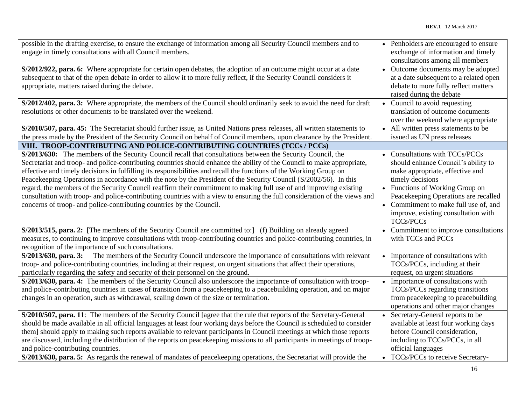| possible in the drafting exercise, to ensure the exchange of information among all Security Council members and to<br>engage in timely consultations with all Council members.                                                                                                                                                                                                                                                                                                                                                                                                                                                                                                                                                                                                                                | • Penholders are encouraged to ensure<br>exchange of information and timely<br>consultations among all members                                                                                                                                                                                     |
|---------------------------------------------------------------------------------------------------------------------------------------------------------------------------------------------------------------------------------------------------------------------------------------------------------------------------------------------------------------------------------------------------------------------------------------------------------------------------------------------------------------------------------------------------------------------------------------------------------------------------------------------------------------------------------------------------------------------------------------------------------------------------------------------------------------|----------------------------------------------------------------------------------------------------------------------------------------------------------------------------------------------------------------------------------------------------------------------------------------------------|
| S/2012/922, para. 6: Where appropriate for certain open debates, the adoption of an outcome might occur at a date<br>subsequent to that of the open debate in order to allow it to more fully reflect, if the Security Council considers it<br>appropriate, matters raised during the debate.                                                                                                                                                                                                                                                                                                                                                                                                                                                                                                                 | Outcome documents may be adopted<br>at a date subsequent to a related open<br>debate to more fully reflect matters<br>raised during the debate                                                                                                                                                     |
| S/2012/402, para. 3: Where appropriate, the members of the Council should ordinarily seek to avoid the need for draft<br>resolutions or other documents to be translated over the weekend.                                                                                                                                                                                                                                                                                                                                                                                                                                                                                                                                                                                                                    | Council to avoid requesting<br>translation of outcome documents<br>over the weekend where appropriate                                                                                                                                                                                              |
| S/2010/507, para. 45: The Secretariat should further issue, as United Nations press releases, all written statements to<br>the press made by the President of the Security Council on behalf of Council members, upon clearance by the President.                                                                                                                                                                                                                                                                                                                                                                                                                                                                                                                                                             | • All written press statements to be<br>issued as UN press releases                                                                                                                                                                                                                                |
| VIII. TROOP-CONTRIBUTING AND POLICE-CONTRIBUTING COUNTRIES (TCCs / PCCs)                                                                                                                                                                                                                                                                                                                                                                                                                                                                                                                                                                                                                                                                                                                                      |                                                                                                                                                                                                                                                                                                    |
| S/2013/630: The members of the Security Council recall that consultations between the Security Council, the<br>Secretariat and troop- and police-contributing countries should enhance the ability of the Council to make appropriate,<br>effective and timely decisions in fulfilling its responsibilities and recall the functions of the Working Group on<br>Peacekeeping Operations in accordance with the note by the President of the Security Council (S/2002/56). In this<br>regard, the members of the Security Council reaffirm their commitment to making full use of and improving existing<br>consultation with troop- and police-contributing countries with a view to ensuring the full consideration of the views and<br>concerns of troop- and police-contributing countries by the Council. | Consultations with TCCs/PCCs<br>should enhance Council's ability to<br>make appropriate, effective and<br>timely decisions<br>• Functions of Working Group on<br>Peacekeeping Operations are recalled<br>• Commitment to make full use of, and<br>improve, existing consultation with<br>TCCs/PCCs |
| S/2013/515, para. 2: [The members of the Security Council are committed to:] (f) Building on already agreed<br>measures, to continuing to improve consultations with troop-contributing countries and police-contributing countries, in<br>recognition of the importance of such consultations.                                                                                                                                                                                                                                                                                                                                                                                                                                                                                                               | • Commitment to improve consultations<br>with TCCs and PCCs                                                                                                                                                                                                                                        |
| S/2013/630, para. 3: The members of the Security Council underscore the importance of consultations with relevant<br>troop- and police-contributing countries, including at their request, on urgent situations that affect their operations,<br>particularly regarding the safety and security of their personnel on the ground.                                                                                                                                                                                                                                                                                                                                                                                                                                                                             | Importance of consultations with<br>TCCs/PCCs, including at their<br>request, on urgent situations                                                                                                                                                                                                 |
| S/2013/630, para. 4: The members of the Security Council also underscore the importance of consultation with troop-<br>and police-contributing countries in cases of transition from a peacekeeping to a peacebuilding operation, and on major<br>changes in an operation, such as withdrawal, scaling down of the size or termination.                                                                                                                                                                                                                                                                                                                                                                                                                                                                       | Importance of consultations with<br>TCCs/PCCs regarding transitions<br>from peacekeeping to peacebuilding<br>operations and other major changes                                                                                                                                                    |
| S/2010/507, para. 11: The members of the Security Council [agree that the rule that reports of the Secretary-General<br>should be made available in all official languages at least four working days before the Council is scheduled to consider<br>them] should apply to making such reports available to relevant participants in Council meetings at which those reports<br>are discussed, including the distribution of the reports on peacekeeping missions to all participants in meetings of troop-<br>and police-contributing countries.<br>S/2013/630, para. 5: As regards the renewal of mandates of peacekeeping operations, the Secretariat will provide the                                                                                                                                     | Secretary-General reports to be<br>available at least four working days<br>before Council consideration,<br>including to TCCs/PCCs, in all<br>official languages<br>TCCs/PCCs to receive Secretary-                                                                                                |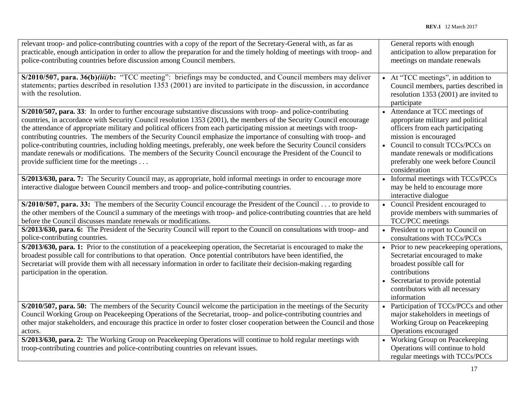| relevant troop- and police-contributing countries with a copy of the report of the Secretary-General with, as far as<br>practicable, enough anticipation in order to allow the preparation for and the timely holding of meetings with troop- and<br>police-contributing countries before discussion among Council members.                                                                                                                                                                                                                                                                                                                                                                                                                                                     | General reports with enough<br>anticipation to allow preparation for<br>meetings on mandate renewals                                                                                                                                                                |
|---------------------------------------------------------------------------------------------------------------------------------------------------------------------------------------------------------------------------------------------------------------------------------------------------------------------------------------------------------------------------------------------------------------------------------------------------------------------------------------------------------------------------------------------------------------------------------------------------------------------------------------------------------------------------------------------------------------------------------------------------------------------------------|---------------------------------------------------------------------------------------------------------------------------------------------------------------------------------------------------------------------------------------------------------------------|
| S/2010/507, para. 36(b)(iii)b: "TCC meeting": briefings may be conducted, and Council members may deliver<br>statements; parties described in resolution 1353 (2001) are invited to participate in the discussion, in accordance<br>with the resolution.                                                                                                                                                                                                                                                                                                                                                                                                                                                                                                                        | At "TCC meetings", in addition to<br>Council members, parties described in<br>resolution 1353 (2001) are invited to<br>participate                                                                                                                                  |
| S/2010/507, para. 33: In order to further encourage substantive discussions with troop- and police-contributing<br>countries, in accordance with Security Council resolution 1353 (2001), the members of the Security Council encourage<br>the attendance of appropriate military and political officers from each participating mission at meetings with troop-<br>contributing countries. The members of the Security Council emphasize the importance of consulting with troop- and<br>police-contributing countries, including holding meetings, preferably, one week before the Security Council considers<br>mandate renewals or modifications. The members of the Security Council encourage the President of the Council to<br>provide sufficient time for the meetings | • Attendance at TCC meetings of<br>appropriate military and political<br>officers from each participating<br>mission is encouraged<br>• Council to consult TCCs/PCCs on<br>mandate renewals or modifications<br>preferably one week before Council<br>consideration |
| S/2013/630, para. 7: The Security Council may, as appropriate, hold informal meetings in order to encourage more<br>interactive dialogue between Council members and troop- and police-contributing countries.                                                                                                                                                                                                                                                                                                                                                                                                                                                                                                                                                                  | Informal meetings with TCCs/PCCs<br>may be held to encourage more<br>interactive dialogue                                                                                                                                                                           |
| S/2010/507, para. 33: The members of the Security Council encourage the President of the Council to provide to<br>the other members of the Council a summary of the meetings with troop- and police-contributing countries that are held<br>before the Council discusses mandate renewals or modifications.                                                                                                                                                                                                                                                                                                                                                                                                                                                                     | Council President encouraged to<br>provide members with summaries of<br>TCC/PCC meetings                                                                                                                                                                            |
| S/2013/630, para. 6: The President of the Security Council will report to the Council on consultations with troop- and<br>police-contributing countries.                                                                                                                                                                                                                                                                                                                                                                                                                                                                                                                                                                                                                        | President to report to Council on<br>consultations with TCCs/PCCs                                                                                                                                                                                                   |
| S/2013/630, para. 1: Prior to the constitution of a peacekeeping operation, the Secretariat is encouraged to make the<br>broadest possible call for contributions to that operation. Once potential contributors have been identified, the<br>Secretariat will provide them with all necessary information in order to facilitate their decision-making regarding<br>participation in the operation.                                                                                                                                                                                                                                                                                                                                                                            | • Prior to new peacekeeping operations,<br>Secretariat encouraged to make<br>broadest possible call for<br>contributions<br>Secretariat to provide potential<br>contributors with all necessary<br>information                                                      |
| S/2010/507, para. 50: The members of the Security Council welcome the participation in the meetings of the Security<br>Council Working Group on Peacekeeping Operations of the Secretariat, troop- and police-contributing countries and<br>other major stakeholders, and encourage this practice in order to foster closer cooperation between the Council and those<br>actors.                                                                                                                                                                                                                                                                                                                                                                                                | Participation of TCCs/PCCs and other<br>major stakeholders in meetings of<br>Working Group on Peacekeeping<br>Operations encouraged                                                                                                                                 |
| S/2013/630, para. 2: The Working Group on Peacekeeping Operations will continue to hold regular meetings with<br>troop-contributing countries and police-contributing countries on relevant issues.                                                                                                                                                                                                                                                                                                                                                                                                                                                                                                                                                                             | • Working Group on Peacekeeping<br>Operations will continue to hold<br>regular meetings with TCCs/PCCs                                                                                                                                                              |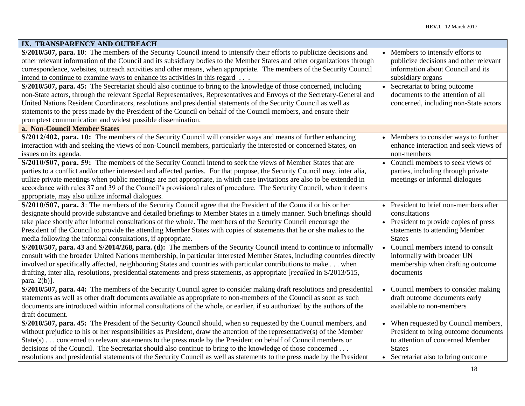| IX. TRANSPARENCY AND OUTREACH                                                                                                                                                                                                                                                                                                                                                                                                                                                                                                                                                                            |                                                                                                                                                                          |
|----------------------------------------------------------------------------------------------------------------------------------------------------------------------------------------------------------------------------------------------------------------------------------------------------------------------------------------------------------------------------------------------------------------------------------------------------------------------------------------------------------------------------------------------------------------------------------------------------------|--------------------------------------------------------------------------------------------------------------------------------------------------------------------------|
| S/2010/507, para. 10: The members of the Security Council intend to intensify their efforts to publicize decisions and<br>other relevant information of the Council and its subsidiary bodies to the Member States and other organizations through<br>correspondence, websites, outreach activities and other means, when appropriate. The members of the Security Council<br>intend to continue to examine ways to enhance its activities in this regard                                                                                                                                                | Members to intensify efforts to<br>publicize decisions and other relevant<br>information about Council and its<br>subsidiary organs                                      |
| S/2010/507, para. 45: The Secretariat should also continue to bring to the knowledge of those concerned, including<br>non-State actors, through the relevant Special Representatives, Representatives and Envoys of the Secretary-General and<br>United Nations Resident Coordinators, resolutions and presidential statements of the Security Council as well as<br>statements to the press made by the President of the Council on behalf of the Council members, and ensure their<br>promptest communication and widest possible dissemination.                                                       | Secretariat to bring outcome<br>documents to the attention of all<br>concerned, including non-State actors                                                               |
| a. Non-Council Member States                                                                                                                                                                                                                                                                                                                                                                                                                                                                                                                                                                             |                                                                                                                                                                          |
| S/2012/402, para. 10: The members of the Security Council will consider ways and means of further enhancing<br>interaction with and seeking the views of non-Council members, particularly the interested or concerned States, on<br>issues on its agenda.                                                                                                                                                                                                                                                                                                                                               | • Members to consider ways to further<br>enhance interaction and seek views of<br>non-members                                                                            |
| S/2010/507, para. 59: The members of the Security Council intend to seek the views of Member States that are<br>parties to a conflict and/or other interested and affected parties. For that purpose, the Security Council may, inter alia,<br>utilize private meetings when public meetings are not appropriate, in which case invitations are also to be extended in<br>accordance with rules 37 and 39 of the Council's provisional rules of procedure. The Security Council, when it deems<br>appropriate, may also utilize informal dialogues.                                                      | • Council members to seek views of<br>parties, including through private<br>meetings or informal dialogues                                                               |
| S/2010/507, para. 3: The members of the Security Council agree that the President of the Council or his or her<br>designate should provide substantive and detailed briefings to Member States in a timely manner. Such briefings should<br>take place shortly after informal consultations of the whole. The members of the Security Council encourage the<br>President of the Council to provide the attending Member States with copies of statements that he or she makes to the<br>media following the informal consultations, if appropriate.                                                      | • President to brief non-members after<br>consultations<br>• President to provide copies of press<br>statements to attending Member<br><b>States</b>                     |
| S/2010/507, para. 43 and S/2014/268, para. (d): The members of the Security Council intend to continue to informally<br>consult with the broader United Nations membership, in particular interested Member States, including countries directly<br>involved or specifically affected, neighbouring States and countries with particular contributions to make when<br>drafting, inter alia, resolutions, presidential statements and press statements, as appropriate [recalled in S/2013/515,<br>para. $2(b)$ ].                                                                                       | Council members intend to consult<br>informally with broader UN<br>membership when drafting outcome<br>documents                                                         |
| S/2010/507, para. 44: The members of the Security Council agree to consider making draft resolutions and presidential<br>statements as well as other draft documents available as appropriate to non-members of the Council as soon as such<br>documents are introduced within informal consultations of the whole, or earlier, if so authorized by the authors of the<br>draft document.                                                                                                                                                                                                                | Council members to consider making<br>draft outcome documents early<br>available to non-members                                                                          |
| S/2010/507, para. 45: The President of the Security Council should, when so requested by the Council members, and<br>without prejudice to his or her responsibilities as President, draw the attention of the representative(s) of the Member<br>State(s) concerned to relevant statements to the press made by the President on behalf of Council members or<br>decisions of the Council. The Secretariat should also continue to bring to the knowledge of those concerned<br>resolutions and presidential statements of the Security Council as well as statements to the press made by the President | • When requested by Council members,<br>President to bring outcome documents<br>to attention of concerned Member<br><b>States</b><br>• Secretariat also to bring outcome |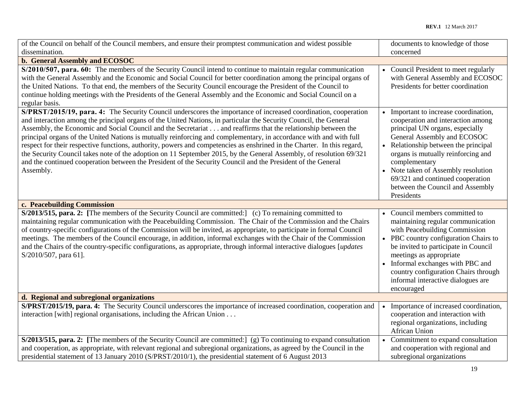| of the Council on behalf of the Council members, and ensure their promptest communication and widest possible                                                                                                                                                                                                                                                                                                                                                                                                                                                                                                                                                                                                                                                                                                                                                                             | documents to knowledge of those                                                                                                                                                                                                                                                                                                                                        |
|-------------------------------------------------------------------------------------------------------------------------------------------------------------------------------------------------------------------------------------------------------------------------------------------------------------------------------------------------------------------------------------------------------------------------------------------------------------------------------------------------------------------------------------------------------------------------------------------------------------------------------------------------------------------------------------------------------------------------------------------------------------------------------------------------------------------------------------------------------------------------------------------|------------------------------------------------------------------------------------------------------------------------------------------------------------------------------------------------------------------------------------------------------------------------------------------------------------------------------------------------------------------------|
| dissemination.                                                                                                                                                                                                                                                                                                                                                                                                                                                                                                                                                                                                                                                                                                                                                                                                                                                                            | concerned                                                                                                                                                                                                                                                                                                                                                              |
| b. General Assembly and ECOSOC                                                                                                                                                                                                                                                                                                                                                                                                                                                                                                                                                                                                                                                                                                                                                                                                                                                            |                                                                                                                                                                                                                                                                                                                                                                        |
| S/2010/507, para. 60: The members of the Security Council intend to continue to maintain regular communication<br>with the General Assembly and the Economic and Social Council for better coordination among the principal organs of<br>the United Nations. To that end, the members of the Security Council encourage the President of the Council to<br>continue holding meetings with the Presidents of the General Assembly and the Economic and Social Council on a<br>regular basis.                                                                                                                                                                                                                                                                                                                                                                                               | • Council President to meet regularly<br>with General Assembly and ECOSOC<br>Presidents for better coordination                                                                                                                                                                                                                                                        |
| S/PRST/2015/19, para. 4: The Security Council underscores the importance of increased coordination, cooperation<br>and interaction among the principal organs of the United Nations, in particular the Security Council, the General<br>Assembly, the Economic and Social Council and the Secretariat and reaffirms that the relationship between the<br>principal organs of the United Nations is mutually reinforcing and complementary, in accordance with and with full<br>respect for their respective functions, authority, powers and competencies as enshrined in the Charter. In this regard,<br>the Security Council takes note of the adoption on 11 September 2015, by the General Assembly, of resolution 69/321<br>and the continued cooperation between the President of the Security Council and the President of the General<br>Assembly.<br>c. Peacebuilding Commission | Important to increase coordination,<br>cooperation and interaction among<br>principal UN organs, especially<br>General Assembly and ECOSOC<br>• Relationship between the principal<br>organs is mutually reinforcing and<br>complementary<br>• Note taken of Assembly resolution<br>69/321 and continued cooperation<br>between the Council and Assembly<br>Presidents |
|                                                                                                                                                                                                                                                                                                                                                                                                                                                                                                                                                                                                                                                                                                                                                                                                                                                                                           |                                                                                                                                                                                                                                                                                                                                                                        |
| S/2013/515, para. 2: [The members of the Security Council are committed:] (c) To remaining committed to<br>maintaining regular communication with the Peacebuilding Commission. The Chair of the Commission and the Chairs<br>of country-specific configurations of the Commission will be invited, as appropriate, to participate in formal Council<br>meetings. The members of the Council encourage, in addition, informal exchanges with the Chair of the Commission<br>and the Chairs of the country-specific configurations, as appropriate, through informal interactive dialogues [updates]<br>S/2010/507, para 61].                                                                                                                                                                                                                                                              | • Council members committed to<br>maintaining regular communication<br>with Peacebuilding Commission<br>• PBC country configuration Chairs to<br>be invited to participate in Council<br>meetings as appropriate<br>Informal exchanges with PBC and<br>country configuration Chairs through<br>informal interactive dialogues are<br>encouraged                        |
| d. Regional and subregional organizations                                                                                                                                                                                                                                                                                                                                                                                                                                                                                                                                                                                                                                                                                                                                                                                                                                                 |                                                                                                                                                                                                                                                                                                                                                                        |
| S/PRST/2015/19, para. 4: The Security Council underscores the importance of increased coordination, cooperation and<br>interaction [with] regional organisations, including the African Union                                                                                                                                                                                                                                                                                                                                                                                                                                                                                                                                                                                                                                                                                             | Importance of increased coordination,<br>cooperation and interaction with<br>regional organizations, including<br>African Union                                                                                                                                                                                                                                        |
| $S/2013/515$ , para. 2: [The members of the Security Council are committed:] (g) To continuing to expand consultation<br>and cooperation, as appropriate, with relevant regional and subregional organizations, as agreed by the Council in the<br>presidential statement of 13 January 2010 (S/PRST/2010/1), the presidential statement of 6 August 2013                                                                                                                                                                                                                                                                                                                                                                                                                                                                                                                                 | • Commitment to expand consultation<br>and cooperation with regional and<br>subregional organizations                                                                                                                                                                                                                                                                  |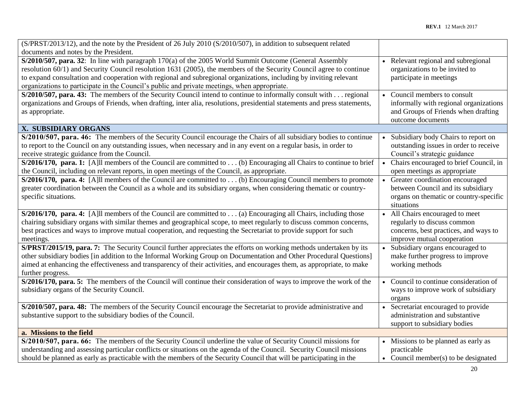| (S/PRST/2013/12), and the note by the President of 26 July 2010 (S/2010/507), in addition to subsequent related            |           |                                                      |
|----------------------------------------------------------------------------------------------------------------------------|-----------|------------------------------------------------------|
| documents and notes by the President.                                                                                      |           |                                                      |
| $S/2010/507$ , para. 32: In line with paragraph 170(a) of the 2005 World Summit Outcome (General Assembly                  |           | Relevant regional and subregional                    |
| resolution 60/1) and Security Council resolution 1631 (2005), the members of the Security Council agree to continue        |           | organizations to be invited to                       |
| to expand consultation and cooperation with regional and subregional organizations, including by inviting relevant         |           | participate in meetings                              |
| organizations to participate in the Council's public and private meetings, when appropriate.                               |           |                                                      |
| S/2010/507, para. 43: The members of the Security Council intend to continue to informally consult with  regional          |           | Council members to consult                           |
| organizations and Groups of Friends, when drafting, inter alia, resolutions, presidential statements and press statements, |           | informally with regional organizations               |
| as appropriate.                                                                                                            |           | and Groups of Friends when drafting                  |
|                                                                                                                            |           | outcome documents                                    |
| X. SUBSIDIARY ORGANS                                                                                                       |           |                                                      |
| S/2010/507, para. 46: The members of the Security Council encourage the Chairs of all subsidiary bodies to continue        |           | Subsidiary body Chairs to report on                  |
| to report to the Council on any outstanding issues, when necessary and in any event on a regular basis, in order to        |           | outstanding issues in order to receive               |
| receive strategic guidance from the Council.                                                                               |           | Council's strategic guidance                         |
| S/2016/170, para. 1: [A]ll members of the Council are committed to (b) Encouraging all Chairs to continue to brief         | $\bullet$ | Chairs encouraged to brief Council, in               |
| the Council, including on relevant reports, in open meetings of the Council, as appropriate.                               |           | open meetings as appropriate                         |
| S/2016/170, para. 4: [A]ll members of the Council are committed to (b) Encouraging Council members to promote              |           | • Greater coordination encouraged                    |
| greater coordination between the Council as a whole and its subsidiary organs, when considering thematic or country-       |           | between Council and its subsidiary                   |
| specific situations.                                                                                                       |           | organs on thematic or country-specific<br>situations |
| S/2016/170, para. 4: [A] l members of the Council are committed to (a) Encouraging all Chairs, including those             | $\bullet$ | All Chairs encouraged to meet                        |
| chairing subsidiary organs with similar themes and geographical scope, to meet regularly to discuss common concerns,       |           | regularly to discuss common                          |
| best practices and ways to improve mutual cooperation, and requesting the Secretariat to provide support for such          |           | concerns, best practices, and ways to                |
| meetings.                                                                                                                  |           | improve mutual cooperation                           |
| S/PRST/2015/19, para. 7: The Security Council further appreciates the efforts on working methods undertaken by its         |           | Subsidiary organs encouraged to                      |
| other subsidiary bodies [in addition to the Informal Working Group on Documentation and Other Procedural Questions]        |           | make further progress to improve                     |
| aimed at enhancing the effectiveness and transparency of their activities, and encourages them, as appropriate, to make    |           | working methods                                      |
| further progress.                                                                                                          |           |                                                      |
| S/2016/170, para. 5: The members of the Council will continue their consideration of ways to improve the work of the       |           | Council to continue consideration of                 |
| subsidiary organs of the Security Council.                                                                                 |           | ways to improve work of subsidiary                   |
|                                                                                                                            |           | organs                                               |
| S/2010/507, para. 48: The members of the Security Council encourage the Secretariat to provide administrative and          |           | • Secretariat encouraged to provide                  |
| substantive support to the subsidiary bodies of the Council.                                                               |           | administration and substantive                       |
|                                                                                                                            |           | support to subsidiary bodies                         |
| a. Missions to the field                                                                                                   |           |                                                      |
| S/2010/507, para. 66: The members of the Security Council underline the value of Security Council missions for             |           | • Missions to be planned as early as                 |
| understanding and assessing particular conflicts or situations on the agenda of the Council. Security Council missions     |           | practicable                                          |
| should be planned as early as practicable with the members of the Security Council that will be participating in the       |           | • Council member(s) to be designated                 |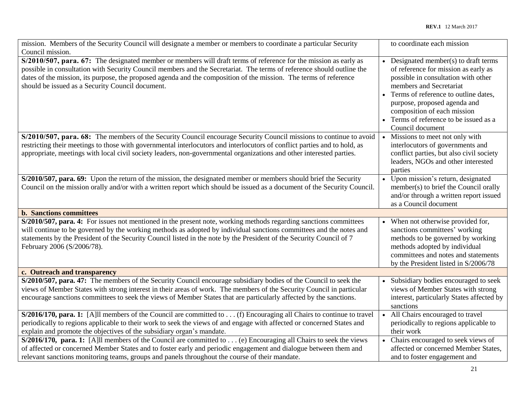| mission. Members of the Security Council will designate a member or members to coordinate a particular Security                                                                                                                                                                                                                                                                                                    | to coordinate each mission                                                                                                                                                                                                                                                                                         |
|--------------------------------------------------------------------------------------------------------------------------------------------------------------------------------------------------------------------------------------------------------------------------------------------------------------------------------------------------------------------------------------------------------------------|--------------------------------------------------------------------------------------------------------------------------------------------------------------------------------------------------------------------------------------------------------------------------------------------------------------------|
| Council mission.                                                                                                                                                                                                                                                                                                                                                                                                   |                                                                                                                                                                                                                                                                                                                    |
| S/2010/507, para. 67: The designated member or members will draft terms of reference for the mission as early as<br>possible in consultation with Security Council members and the Secretariat. The terms of reference should outline the<br>dates of the mission, its purpose, the proposed agenda and the composition of the mission. The terms of reference<br>should be issued as a Security Council document. | Designated member(s) to draft terms<br>of reference for mission as early as<br>possible in consultation with other<br>members and Secretariat<br>Terms of reference to outline dates,<br>purpose, proposed agenda and<br>composition of each mission<br>• Terms of reference to be issued as a<br>Council document |
| S/2010/507, para. 68: The members of the Security Council encourage Security Council missions to continue to avoid<br>restricting their meetings to those with governmental interlocutors and interlocutors of conflict parties and to hold, as<br>appropriate, meetings with local civil society leaders, non-governmental organizations and other interested parties.                                            | • Missions to meet not only with<br>interlocutors of governments and<br>conflict parties, but also civil society<br>leaders, NGOs and other interested<br>parties                                                                                                                                                  |
| S/2010/507, para. 69: Upon the return of the mission, the designated member or members should brief the Security<br>Council on the mission orally and/or with a written report which should be issued as a document of the Security Council.                                                                                                                                                                       | Upon mission's return, designated<br>member(s) to brief the Council orally<br>and/or through a written report issued<br>as a Council document                                                                                                                                                                      |
| <b>b.</b> Sanctions committees                                                                                                                                                                                                                                                                                                                                                                                     |                                                                                                                                                                                                                                                                                                                    |
| S/2010/507, para. 4: For issues not mentioned in the present note, working methods regarding sanctions committees<br>will continue to be governed by the working methods as adopted by individual sanctions committees and the notes and<br>statements by the President of the Security Council listed in the note by the President of the Security Council of 7<br>February 2006 (S/2006/78).                     | When not otherwise provided for,<br>sanctions committees' working<br>methods to be governed by working<br>methods adopted by individual<br>committees and notes and statements<br>by the President listed in S/2006/78                                                                                             |
| c. Outreach and transparency                                                                                                                                                                                                                                                                                                                                                                                       |                                                                                                                                                                                                                                                                                                                    |
| S/2010/507, para. 47: The members of the Security Council encourage subsidiary bodies of the Council to seek the<br>views of Member States with strong interest in their areas of work. The members of the Security Council in particular<br>encourage sanctions committees to seek the views of Member States that are particularly affected by the sanctions.                                                    | Subsidiary bodies encouraged to seek<br>views of Member States with strong<br>interest, particularly States affected by<br>sanctions                                                                                                                                                                               |
| S/2016/170, para. 1: [A]ll members of the Council are committed to (f) Encouraging all Chairs to continue to travel<br>periodically to regions applicable to their work to seek the views of and engage with affected or concerned States and<br>explain and promote the objectives of the subsidiary organ's mandate.                                                                                             | All Chairs encouraged to travel<br>periodically to regions applicable to<br>their work                                                                                                                                                                                                                             |
| S/2016/170, para. 1: [A]ll members of the Council are committed to (e) Encouraging all Chairs to seek the views<br>of affected or concerned Member States and to foster early and periodic engagement and dialogue between them and<br>relevant sanctions monitoring teams, groups and panels throughout the course of their mandate.                                                                              | • Chairs encouraged to seek views of<br>affected or concerned Member States,<br>and to foster engagement and                                                                                                                                                                                                       |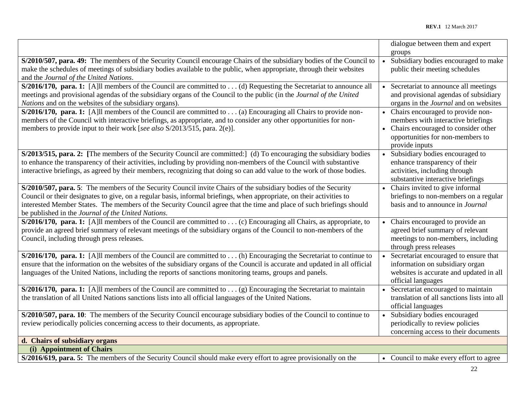|                                                                                                                                                                                                                                                                                                                                                                                                                        | dialogue between them and expert                                                                                                                                         |
|------------------------------------------------------------------------------------------------------------------------------------------------------------------------------------------------------------------------------------------------------------------------------------------------------------------------------------------------------------------------------------------------------------------------|--------------------------------------------------------------------------------------------------------------------------------------------------------------------------|
| S/2010/507, para. 49: The members of the Security Council encourage Chairs of the subsidiary bodies of the Council to<br>make the schedules of meetings of subsidiary bodies available to the public, when appropriate, through their websites<br>and the Journal of the United Nations.                                                                                                                               | groups<br>Subsidiary bodies encouraged to make<br>public their meeting schedules                                                                                         |
| $S/2016/170$ , para. 1: [A]ll members of the Council are committed to (d) Requesting the Secretariat to announce all<br>meetings and provisional agendas of the subsidiary organs of the Council to the public (in the Journal of the United<br>Nations and on the websites of the subsidiary organs).                                                                                                                 | • Secretariat to announce all meetings<br>and provisional agendas of subsidiary<br>organs in the Journal and on websites                                                 |
| S/2016/170, para. 1: [A]ll members of the Council are committed to (a) Encouraging all Chairs to provide non-<br>members of the Council with interactive briefings, as appropriate, and to consider any other opportunities for non-<br>members to provide input to their work [see also S/2013/515, para. 2(e)].                                                                                                      | • Chairs encouraged to provide non-<br>members with interactive briefings<br>• Chairs encouraged to consider other<br>opportunities for non-members to<br>provide inputs |
| S/2013/515, para. 2: [The members of the Security Council are committed:] (d) To encouraging the subsidiary bodies<br>to enhance the transparency of their activities, including by providing non-members of the Council with substantive<br>interactive briefings, as agreed by their members, recognizing that doing so can add value to the work of those bodies.                                                   | • Subsidiary bodies encouraged to<br>enhance transparency of their<br>activities, including through<br>substantive interactive briefings                                 |
| S/2010/507, para. 5: The members of the Security Council invite Chairs of the subsidiary bodies of the Security<br>Council or their designates to give, on a regular basis, informal briefings, when appropriate, on their activities to<br>interested Member States. The members of the Security Council agree that the time and place of such briefings should<br>be published in the Journal of the United Nations. | • Chairs invited to give informal<br>briefings to non-members on a regular<br>basis and to announce in Journal                                                           |
| S/2016/170, para. 1: [A]ll members of the Council are committed to (c) Encouraging all Chairs, as appropriate, to<br>provide an agreed brief summary of relevant meetings of the subsidiary organs of the Council to non-members of the<br>Council, including through press releases.                                                                                                                                  | • Chairs encouraged to provide an<br>agreed brief summary of relevant<br>meetings to non-members, including<br>through press releases                                    |
| S/2016/170, para. 1: [A]ll members of the Council are committed to (h) Encouraging the Secretariat to continue to<br>ensure that the information on the websites of the subsidiary organs of the Council is accurate and updated in all official<br>languages of the United Nations, including the reports of sanctions monitoring teams, groups and panels.                                                           | Secretariat encouraged to ensure that<br>information on subsidiary organ<br>websites is accurate and updated in all<br>official languages                                |
| S/2016/170, para. 1: [A]ll members of the Council are committed to (g) Encouraging the Secretariat to maintain<br>the translation of all United Nations sanctions lists into all official languages of the United Nations.                                                                                                                                                                                             | • Secretariat encouraged to maintain<br>translation of all sanctions lists into all<br>official languages                                                                |
| S/2010/507, para. 10: The members of the Security Council encourage subsidiary bodies of the Council to continue to<br>review periodically policies concerning access to their documents, as appropriate.                                                                                                                                                                                                              | • Subsidiary bodies encouraged<br>periodically to review policies<br>concerning access to their documents                                                                |
| d. Chairs of subsidiary organs                                                                                                                                                                                                                                                                                                                                                                                         |                                                                                                                                                                          |
| (i) Appointment of Chairs<br>S/2016/619, para. 5: The members of the Security Council should make every effort to agree provisionally on the                                                                                                                                                                                                                                                                           | • Council to make every effort to agree                                                                                                                                  |
|                                                                                                                                                                                                                                                                                                                                                                                                                        |                                                                                                                                                                          |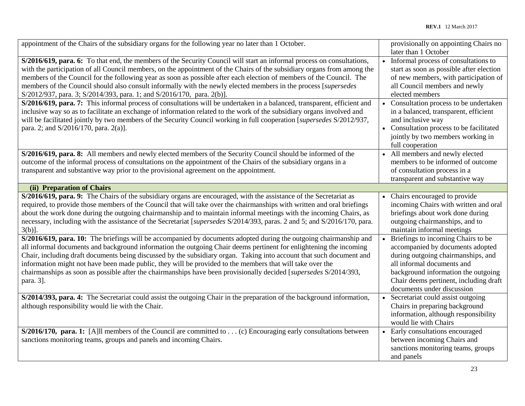| appointment of the Chairs of the subsidiary organs for the following year no later than 1 October.                                                                                                                                                                                                                                                                                                                                                                                                                                                                                                             |           | provisionally on appointing Chairs no<br>later than 1 October                                                                                                                                                                                             |
|----------------------------------------------------------------------------------------------------------------------------------------------------------------------------------------------------------------------------------------------------------------------------------------------------------------------------------------------------------------------------------------------------------------------------------------------------------------------------------------------------------------------------------------------------------------------------------------------------------------|-----------|-----------------------------------------------------------------------------------------------------------------------------------------------------------------------------------------------------------------------------------------------------------|
| S/2016/619, para. 6: To that end, the members of the Security Council will start an informal process on consultations,<br>with the participation of all Council members, on the appointment of the Chairs of the subsidiary organs from among the<br>members of the Council for the following year as soon as possible after each election of members of the Council. The<br>members of the Council should also consult informally with the newly elected members in the process [supersedes<br>S/2012/937, para. 3; S/2014/393, para. 1; and S/2016/170, para. 2(b)].                                         |           | Informal process of consultations to<br>start as soon as possible after election<br>of new members, with participation of<br>all Council members and newly<br>elected members                                                                             |
| S/2016/619, para. 7: This informal process of consultations will be undertaken in a balanced, transparent, efficient and<br>inclusive way so as to facilitate an exchange of information related to the work of the subsidiary organs involved and<br>will be facilitated jointly by two members of the Security Council working in full cooperation [supersedes S/2012/937,<br>para. 2; and S/2016/170, para. 2(a)].                                                                                                                                                                                          |           | • Consultation process to be undertaken<br>in a balanced, transparent, efficient<br>and inclusive way<br>• Consultation process to be facilitated<br>jointly by two members working in<br>full cooperation                                                |
| S/2016/619, para. 8: All members and newly elected members of the Security Council should be informed of the<br>outcome of the informal process of consultations on the appointment of the Chairs of the subsidiary organs in a<br>transparent and substantive way prior to the provisional agreement on the appointment.                                                                                                                                                                                                                                                                                      |           | • All members and newly elected<br>members to be informed of outcome<br>of consultation process in a<br>transparent and substantive way                                                                                                                   |
| (ii) Preparation of Chairs                                                                                                                                                                                                                                                                                                                                                                                                                                                                                                                                                                                     |           |                                                                                                                                                                                                                                                           |
| S/2016/619, para. 9: The Chairs of the subsidiary organs are encouraged, with the assistance of the Secretariat as<br>required, to provide those members of the Council that will take over the chairman ships with written and oral briefings<br>about the work done during the outgoing chairmanship and to maintain informal meetings with the incoming Chairs, as<br>necessary, including with the assistance of the Secretariat [supersedes S/2014/393, paras. 2 and 5; and S/2016/170, para.<br>$3(b)$ ].                                                                                                | $\bullet$ | Chairs encouraged to provide<br>incoming Chairs with written and oral<br>briefings about work done during<br>outgoing chairmanships, and to<br>maintain informal meetings                                                                                 |
| S/2016/619, para. 10: The briefings will be accompanied by documents adopted during the outgoing chairmanship and<br>all informal documents and background information the outgoing Chair deems pertinent for enlightening the incoming<br>Chair, including draft documents being discussed by the subsidiary organ. Taking into account that such document and<br>information might not have been made public, they will be provided to the members that will take over the<br>chairmanships as soon as possible after the chairmanships have been provisionally decided [supersedes S/2014/393,<br>para. 3]. |           | Briefings to incoming Chairs to be<br>accompanied by documents adopted<br>during outgoing chairmanships, and<br>all informal documents and<br>background information the outgoing<br>Chair deems pertinent, including draft<br>documents under discussion |
| S/2014/393, para. 4: The Secretariat could assist the outgoing Chair in the preparation of the background information,<br>although responsibility would lie with the Chair.                                                                                                                                                                                                                                                                                                                                                                                                                                    |           | Secretariat could assist outgoing<br>Chairs in preparing background<br>information, although responsibility<br>would lie with Chairs                                                                                                                      |
| $S/2016/170$ , para. 1: [A] members of the Council are committed to  (c) Encouraging early consultations between<br>sanctions monitoring teams, groups and panels and incoming Chairs.                                                                                                                                                                                                                                                                                                                                                                                                                         |           | Early consultations encouraged<br>between incoming Chairs and<br>sanctions monitoring teams, groups<br>and panels                                                                                                                                         |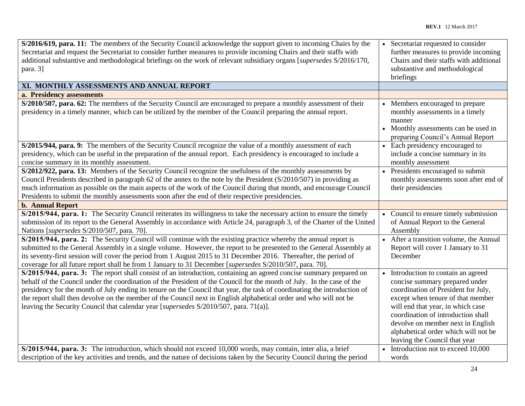| S/2016/619, para. 11: The members of the Security Council acknowledge the support given to incoming Chairs by the                                                                                                                          | Secretariat requested to consider       |
|--------------------------------------------------------------------------------------------------------------------------------------------------------------------------------------------------------------------------------------------|-----------------------------------------|
| Secretariat and request the Secretariat to consider further measures to provide incoming Chairs and their staffs with                                                                                                                      | further measures to provide incoming    |
| additional substantive and methodological briefings on the work of relevant subsidiary organs [supersedes S/2016/170,                                                                                                                      | Chairs and their staffs with additional |
| para. 3]                                                                                                                                                                                                                                   | substantive and methodological          |
|                                                                                                                                                                                                                                            | briefings                               |
| XI. MONTHLY ASSESSMENTS AND ANNUAL REPORT                                                                                                                                                                                                  |                                         |
| a. Presidency assessments                                                                                                                                                                                                                  |                                         |
| S/2010/507, para. 62: The members of the Security Council are encouraged to prepare a monthly assessment of their                                                                                                                          | Members encouraged to prepare           |
| presidency in a timely manner, which can be utilized by the member of the Council preparing the annual report.                                                                                                                             | monthly assessments in a timely         |
|                                                                                                                                                                                                                                            | manner                                  |
|                                                                                                                                                                                                                                            | Monthly assessments can be used in      |
|                                                                                                                                                                                                                                            | preparing Council's Annual Report       |
| S/2015/944, para. 9: The members of the Security Council recognize the value of a monthly assessment of each                                                                                                                               | • Each presidency encouraged to         |
| presidency, which can be useful in the preparation of the annual report. Each presidency is encouraged to include a                                                                                                                        | include a concise summary in its        |
| concise summary in its monthly assessment.                                                                                                                                                                                                 | monthly assessment                      |
| S/2012/922, para. 13: Members of the Security Council recognize the usefulness of the monthly assessments by                                                                                                                               | Presidents encouraged to submit         |
| Council Presidents described in paragraph 62 of the annex to the note by the President (S/2010/507) in providing as                                                                                                                        | monthly assessments soon after end of   |
| much information as possible on the main aspects of the work of the Council during that month, and encourage Council                                                                                                                       | their presidencies                      |
| Presidents to submit the monthly assessments soon after the end of their respective presidencies.                                                                                                                                          |                                         |
|                                                                                                                                                                                                                                            |                                         |
| <b>b. Annual Report</b>                                                                                                                                                                                                                    |                                         |
| S/2015/944, para. 1: The Security Council reiterates its willingness to take the necessary action to ensure the timely                                                                                                                     | • Council to ensure timely submission   |
| submission of its report to the General Assembly in accordance with Article 24, paragraph 3, of the Charter of the United                                                                                                                  | of Annual Report to the General         |
| Nations [supersedes S/2010/507, para. 70].                                                                                                                                                                                                 | Assembly                                |
| S/2015/944, para. 2: The Security Council will continue with the existing practice whereby the annual report is                                                                                                                            | After a transition volume, the Annual   |
| submitted to the General Assembly in a single volume. However, the report to be presented to the General Assembly at                                                                                                                       | Report will cover 1 January to 31       |
| its seventy-first session will cover the period from 1 August 2015 to 31 December 2016. Thereafter, the period of                                                                                                                          | December                                |
| coverage for all future report shall be from 1 January to 31 December [supersedes S/2010/507, para. 70].                                                                                                                                   |                                         |
| S/2015/944, para. 3: The report shall consist of an introduction, containing an agreed concise summary prepared on                                                                                                                         | Introduction to contain an agreed       |
| behalf of the Council under the coordination of the President of the Council for the month of July. In the case of the                                                                                                                     | concise summary prepared under          |
| presidency for the month of July ending its tenure on the Council that year, the task of coordinating the introduction of                                                                                                                  | coordination of President for July,     |
| the report shall then devolve on the member of the Council next in English alphabetical order and who will not be                                                                                                                          | except when tenure of that member       |
| leaving the Security Council that calendar year [supersedes S/2010/507, para. 71(a)].                                                                                                                                                      | will end that year, in which case       |
|                                                                                                                                                                                                                                            | coordination of introduction shall      |
|                                                                                                                                                                                                                                            | devolve on member next in English       |
|                                                                                                                                                                                                                                            | alphabetical order which will not be    |
|                                                                                                                                                                                                                                            | leaving the Council that year           |
| S/2015/944, para. 3: The introduction, which should not exceed 10,000 words, may contain, inter alia, a brief<br>description of the key activities and trends, and the nature of decisions taken by the Security Council during the period | Introduction not to exceed 10,000       |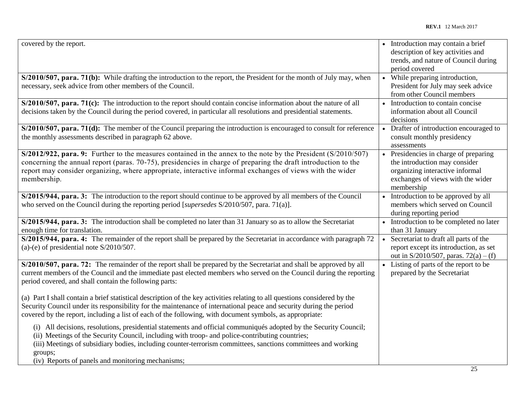| covered by the report.                                                                                                                                                                                                                                                                                                                                                                                | • Introduction may contain a brief<br>description of key activities and<br>trends, and nature of Council during<br>period covered                            |
|-------------------------------------------------------------------------------------------------------------------------------------------------------------------------------------------------------------------------------------------------------------------------------------------------------------------------------------------------------------------------------------------------------|--------------------------------------------------------------------------------------------------------------------------------------------------------------|
| S/2010/507, para. 71(b): While drafting the introduction to the report, the President for the month of July may, when<br>necessary, seek advice from other members of the Council.                                                                                                                                                                                                                    | • While preparing introduction,<br>President for July may seek advice<br>from other Council members                                                          |
| $S/2010/507$ , para. 71(c): The introduction to the report should contain concise information about the nature of all<br>decisions taken by the Council during the period covered, in particular all resolutions and presidential statements.                                                                                                                                                         | • Introduction to contain concise<br>information about all Council<br>decisions                                                                              |
| $S/2010/507$ , para. 71(d): The member of the Council preparing the introduction is encouraged to consult for reference<br>the monthly assessments described in paragraph 62 above.                                                                                                                                                                                                                   | • Drafter of introduction encouraged to<br>consult monthly presidency<br>assessments                                                                         |
| $S/2012/922$ , para. 9: Further to the measures contained in the annex to the note by the President ( $S/2010/507$ )<br>concerning the annual report (paras. 70-75), presidencies in charge of preparing the draft introduction to the<br>report may consider organizing, where appropriate, interactive informal exchanges of views with the wider<br>membership.                                    | • Presidencies in charge of preparing<br>the introduction may consider<br>organizing interactive informal<br>exchanges of views with the wider<br>membership |
| S/2015/944, para. 3: The introduction to the report should continue to be approved by all members of the Council<br>who served on the Council during the reporting period [supersedes S/2010/507, para. 71(a)].                                                                                                                                                                                       | • Introduction to be approved by all<br>members which served on Council<br>during reporting period                                                           |
| S/2015/944, para. 3: The introduction shall be completed no later than 31 January so as to allow the Secretariat<br>enough time for translation.                                                                                                                                                                                                                                                      | • Introduction to be completed no later<br>than 31 January                                                                                                   |
| S/2015/944, para. 4: The remainder of the report shall be prepared by the Secretariat in accordance with paragraph 72<br>(a)-(e) of presidential note $S/2010/507$ .                                                                                                                                                                                                                                  | Secretariat to draft all parts of the<br>report except its introduction, as set<br>out in $S/2010/507$ , paras. $72(a) - (f)$                                |
| S/2010/507, para. 72: The remainder of the report shall be prepared by the Secretariat and shall be approved by all<br>current members of the Council and the immediate past elected members who served on the Council during the reporting<br>period covered, and shall contain the following parts:                                                                                                 | Listing of parts of the report to be<br>prepared by the Secretariat                                                                                          |
| (a) Part I shall contain a brief statistical description of the key activities relating to all questions considered by the<br>Security Council under its responsibility for the maintenance of international peace and security during the period<br>covered by the report, including a list of each of the following, with document symbols, as appropriate:                                         |                                                                                                                                                              |
| (i) All decisions, resolutions, presidential statements and official communiqués adopted by the Security Council;<br>(ii) Meetings of the Security Council, including with troop- and police-contributing countries;<br>(iii) Meetings of subsidiary bodies, including counter-terrorism committees, sanctions committees and working<br>groups;<br>(iv) Reports of panels and monitoring mechanisms; |                                                                                                                                                              |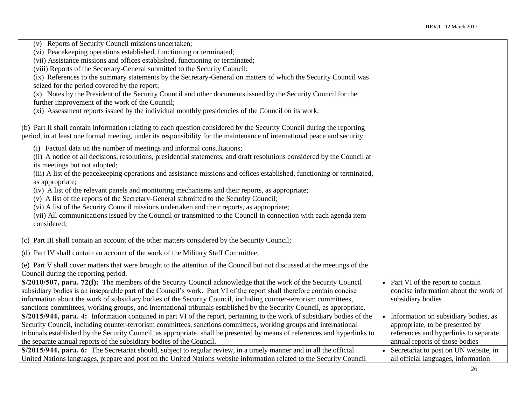| (v) Reports of Security Council missions undertaken;<br>(vi) Peacekeeping operations established, functioning or terminated;<br>(vii) Assistance missions and offices established, functioning or terminated;<br>(viii) Reports of the Secretary-General submitted to the Security Council;<br>(ix) References to the summary statements by the Secretary-General on matters of which the Security Council was<br>seized for the period covered by the report;<br>(x) Notes by the President of the Security Council and other documents issued by the Security Council for the<br>further improvement of the work of the Council;<br>(xi) Assessment reports issued by the individual monthly presidencies of the Council on its work;                                                                        |                                                                                                                                                      |
|----------------------------------------------------------------------------------------------------------------------------------------------------------------------------------------------------------------------------------------------------------------------------------------------------------------------------------------------------------------------------------------------------------------------------------------------------------------------------------------------------------------------------------------------------------------------------------------------------------------------------------------------------------------------------------------------------------------------------------------------------------------------------------------------------------------|------------------------------------------------------------------------------------------------------------------------------------------------------|
| (b) Part II shall contain information relating to each question considered by the Security Council during the reporting<br>period, in at least one formal meeting, under its responsibility for the maintenance of international peace and security:                                                                                                                                                                                                                                                                                                                                                                                                                                                                                                                                                           |                                                                                                                                                      |
| (i) Factual data on the number of meetings and informal consultations;<br>(ii) A notice of all decisions, resolutions, presidential statements, and draft resolutions considered by the Council at<br>its meetings but not adopted;<br>(iii) A list of the peacekeeping operations and assistance missions and offices established, functioning or terminated,<br>as appropriate;<br>(iv) A list of the relevant panels and monitoring mechanisms and their reports, as appropriate;<br>(v) A list of the reports of the Secretary-General submitted to the Security Council;<br>(vi) A list of the Security Council missions undertaken and their reports, as appropriate;<br>(vii) All communications issued by the Council or transmitted to the Council in connection with each agenda item<br>considered; |                                                                                                                                                      |
| (c) Part III shall contain an account of the other matters considered by the Security Council;                                                                                                                                                                                                                                                                                                                                                                                                                                                                                                                                                                                                                                                                                                                 |                                                                                                                                                      |
| (d) Part IV shall contain an account of the work of the Military Staff Committee;                                                                                                                                                                                                                                                                                                                                                                                                                                                                                                                                                                                                                                                                                                                              |                                                                                                                                                      |
| (e) Part V shall cover matters that were brought to the attention of the Council but not discussed at the meetings of the<br>Council during the reporting period.                                                                                                                                                                                                                                                                                                                                                                                                                                                                                                                                                                                                                                              |                                                                                                                                                      |
| S/2010/507, para. 72(f): The members of the Security Council acknowledge that the work of the Security Council<br>subsidiary bodies is an inseparable part of the Council's work. Part VI of the report shall therefore contain concise<br>information about the work of subsidiary bodies of the Security Council, including counter-terrorism committees,<br>sanctions committees, working groups, and international tribunals established by the Security Council, as appropriate.                                                                                                                                                                                                                                                                                                                          | • Part VI of the report to contain<br>concise information about the work of<br>subsidiary bodies                                                     |
| S/2015/944, para. 4: Information contained in part VI of the report, pertaining to the work of subsidiary bodies of the<br>Security Council, including counter-terrorism committees, sanctions committees, working groups and international<br>tribunals established by the Security Council, as appropriate, shall be presented by means of references and hyperlinks to<br>the separate annual reports of the subsidiary bodies of the Council.                                                                                                                                                                                                                                                                                                                                                              | • Information on subsidiary bodies, as<br>appropriate, to be presented by<br>references and hyperlinks to separate<br>annual reports of those bodies |
| S/2015/944, para. 6: The Secretariat should, subject to regular review, in a timely manner and in all the official<br>United Nations languages, prepare and post on the United Nations website information related to the Security Council                                                                                                                                                                                                                                                                                                                                                                                                                                                                                                                                                                     | • Secretariat to post on UN website, in<br>all official languages, information                                                                       |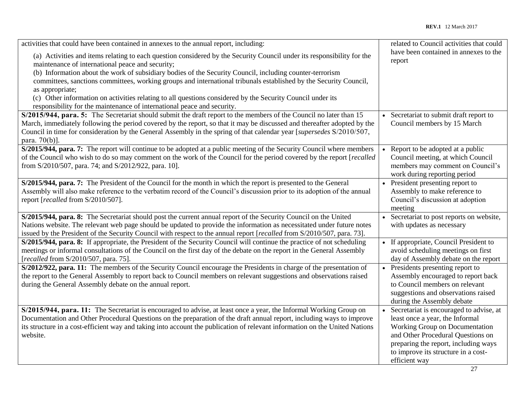| activities that could have been contained in annexes to the annual report, including:                                                                                      | related to Council activities that could        |
|----------------------------------------------------------------------------------------------------------------------------------------------------------------------------|-------------------------------------------------|
| (a) Activities and items relating to each question considered by the Security Council under its responsibility for the<br>maintenance of international peace and security; | have been contained in annexes to the<br>report |
| (b) Information about the work of subsidiary bodies of the Security Council, including counter-terrorism                                                                   |                                                 |
| committees, sanctions committees, working groups and international tribunals established by the Security Council,                                                          |                                                 |
| as appropriate;                                                                                                                                                            |                                                 |
| (c) Other information on activities relating to all questions considered by the Security Council under its                                                                 |                                                 |
| responsibility for the maintenance of international peace and security.                                                                                                    |                                                 |
| S/2015/944, para. 5: The Secretariat should submit the draft report to the members of the Council no later than 15                                                         | • Secretariat to submit draft report to         |
| March, immediately following the period covered by the report, so that it may be discussed and thereafter adopted by the                                                   | Council members by 15 March                     |
| Council in time for consideration by the General Assembly in the spring of that calendar year [supersedes S/2010/507,                                                      |                                                 |
| para. 70(b)].                                                                                                                                                              |                                                 |
| S/2015/944, para. 7: The report will continue to be adopted at a public meeting of the Security Council where members                                                      | Report to be adopted at a public                |
| of the Council who wish to do so may comment on the work of the Council for the period covered by the report [recalled                                                     | Council meeting, at which Council               |
| from S/2010/507, para. 74; and S/2012/922, para. 10].                                                                                                                      | members may comment on Council's                |
|                                                                                                                                                                            | work during reporting period                    |
| S/2015/944, para. 7: The President of the Council for the month in which the report is presented to the General                                                            | President presenting report to                  |
| Assembly will also make reference to the verbatim record of the Council's discussion prior to its adoption of the annual                                                   | Assembly to make reference to                   |
| report [recalled from S/2010/507].                                                                                                                                         | Council's discussion at adoption                |
|                                                                                                                                                                            | meeting                                         |
| S/2015/944, para. 8: The Secretariat should post the current annual report of the Security Council on the United                                                           | • Secretariat to post reports on website,       |
| Nations website. The relevant web page should be updated to provide the information as necessitated under future notes                                                     | with updates as necessary                       |
| issued by the President of the Security Council with respect to the annual report [recalled from S/2010/507, para. 73].                                                    |                                                 |
| S/2015/944, para. 8: If appropriate, the President of the Security Council will continue the practice of not scheduling                                                    | • If appropriate, Council President to          |
| meetings or informal consultations of the Council on the first day of the debate on the report in the General Assembly                                                     | avoid scheduling meetings on first              |
| [recalled from S/2010/507, para. 75].                                                                                                                                      | day of Assembly debate on the report            |
| S/2012/922, para. 11: The members of the Security Council encourage the Presidents in charge of the presentation of                                                        | • Presidents presenting report to               |
| the report to the General Assembly to report back to Council members on relevant suggestions and observations raised                                                       | Assembly encouraged to report back              |
| during the General Assembly debate on the annual report.                                                                                                                   | to Council members on relevant                  |
|                                                                                                                                                                            | suggestions and observations raised             |
|                                                                                                                                                                            | during the Assembly debate                      |
| S/2015/944, para. 11: The Secretariat is encouraged to advise, at least once a year, the Informal Working Group on                                                         | Secretariat is encouraged to advise, at         |
| Documentation and Other Procedural Questions on the preparation of the draft annual report, including ways to improve                                                      | least once a year, the Informal                 |
| its structure in a cost-efficient way and taking into account the publication of relevant information on the United Nations                                                | Working Group on Documentation                  |
| website.                                                                                                                                                                   | and Other Procedural Questions on               |
|                                                                                                                                                                            | preparing the report, including ways            |
|                                                                                                                                                                            | to improve its structure in a cost-             |
|                                                                                                                                                                            | efficient way                                   |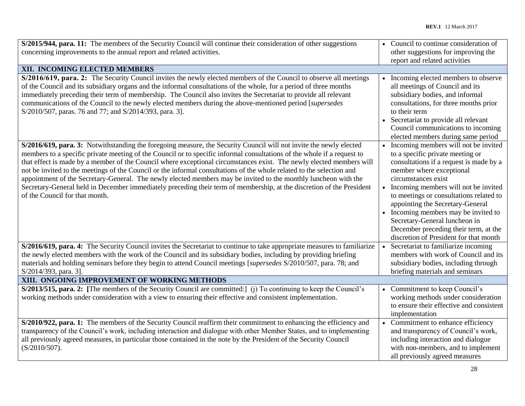| S/2015/944, para. 11: The members of the Security Council will continue their consideration of other suggestions          | • Council to continue consideration of   |
|---------------------------------------------------------------------------------------------------------------------------|------------------------------------------|
| concerning improvements to the annual report and related activities.                                                      | other suggestions for improving the      |
|                                                                                                                           | report and related activities            |
| XII. INCOMING ELECTED MEMBERS                                                                                             |                                          |
| S/2016/619, para. 2: The Security Council invites the newly elected members of the Council to observe all meetings        | • Incoming elected members to observe    |
| of the Council and its subsidiary organs and the informal consultations of the whole, for a period of three months        | all meetings of Council and its          |
| immediately preceding their term of membership. The Council also invites the Secretariat to provide all relevant          | subsidiary bodies, and informal          |
| communications of the Council to the newly elected members during the above-mentioned period [supersedes                  | consultations, for three months prior    |
| S/2010/507, paras. 76 and 77; and S/2014/393, para. 3].                                                                   | to their term                            |
|                                                                                                                           | Secretariat to provide all relevant      |
|                                                                                                                           | Council communications to incoming       |
|                                                                                                                           | elected members during same period       |
| S/2016/619, para. 3: Notwithstanding the foregoing measure, the Security Council will not invite the newly elected        | • Incoming members will not be invited   |
| members to a specific private meeting of the Council or to specific informal consultations of the whole if a request to   | to a specific private meeting or         |
| that effect is made by a member of the Council where exceptional circumstances exist. The newly elected members will      | consultations if a request is made by a  |
| not be invited to the meetings of the Council or the informal consultations of the whole related to the selection and     | member where exceptional                 |
| appointment of the Secretary-General. The newly elected members may be invited to the monthly luncheon with the           | circumstances exist                      |
| Secretary-General held in December immediately preceding their term of membership, at the discretion of the President     | • Incoming members will not be invited   |
| of the Council for that month.                                                                                            | to meetings or consultations related to  |
|                                                                                                                           | appointing the Secretary-General         |
|                                                                                                                           | • Incoming members may be invited to     |
|                                                                                                                           | Secretary-General luncheon in            |
|                                                                                                                           | December preceding their term, at the    |
|                                                                                                                           | discretion of President for that month   |
| S/2016/619, para. 4: The Security Council invites the Secretariat to continue to take appropriate measures to familiarize | Secretariat to familiarize incoming      |
| the newly elected members with the work of the Council and its subsidiary bodies, including by providing briefing         | members with work of Council and its     |
| materials and holding seminars before they begin to attend Council meetings [supersedes S/2010/507, para. 78; and         | subsidiary bodies, including through     |
| S/2014/393, para. 3].                                                                                                     | briefing materials and seminars          |
| XIII. ONGOING IMPROVEMENT OF WORKING METHODS                                                                              |                                          |
| S/2013/515, para. 2: [The members of the Security Council are committed:] (j) To continuing to keep the Council's         | • Commitment to keep Council's           |
| working methods under consideration with a view to ensuring their effective and consistent implementation.                | working methods under consideration      |
|                                                                                                                           | to ensure their effective and consistent |
|                                                                                                                           | implementation                           |
| S/2010/922, para. 1: The members of the Security Council reaffirm their commitment to enhancing the efficiency and        | • Commitment to enhance efficiency       |
| transparency of the Council's work, including interaction and dialogue with other Member States, and to implementing      | and transparency of Council's work,      |
| all previously agreed measures, in particular those contained in the note by the President of the Security Council        | including interaction and dialogue       |
| $(S/2010/507)$ .                                                                                                          | with non-members, and to implement       |
|                                                                                                                           | all previously agreed measures           |